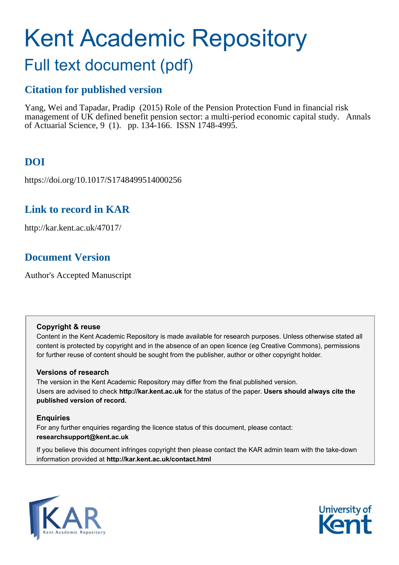# Kent Academic Repository

## Full text document (pdf)

### **Citation for published version**

Yang, Wei and Tapadar, Pradip (2015) Role of the Pension Protection Fund in financial risk management of UK defined benefit pension sector: a multi-period economic capital study. Annals of Actuarial Science, 9 (1). pp. 134-166. ISSN 1748-4995.

## **DOI**

https://doi.org/10.1017/S1748499514000256

## **Link to record in KAR**

http://kar.kent.ac.uk/47017/

## **Document Version**

Author's Accepted Manuscript

#### **Copyright & reuse**

Content in the Kent Academic Repository is made available for research purposes. Unless otherwise stated all content is protected by copyright and in the absence of an open licence (eg Creative Commons), permissions for further reuse of content should be sought from the publisher, author or other copyright holder.

#### **Versions of research**

The version in the Kent Academic Repository may differ from the final published version. Users are advised to check **http://kar.kent.ac.uk** for the status of the paper. **Users should always cite the published version of record.**

#### **Enquiries**

For any further enquiries regarding the licence status of this document, please contact: **researchsupport@kent.ac.uk**

If you believe this document infringes copyright then please contact the KAR admin team with the take-down information provided at **http://kar.kent.ac.uk/contact.html**



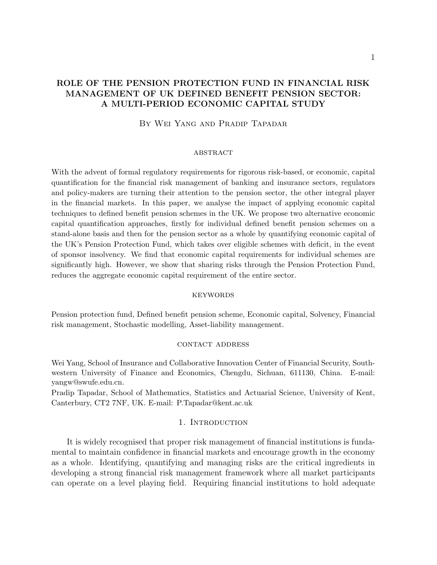#### ROLE OF THE PENSION PROTECTION FUND IN FINANCIAL RISK MANAGEMENT OF UK DEFINED BENEFIT PENSION SECTOR: A MULTI-PERIOD ECONOMIC CAPITAL STUDY

#### By Wei Yang and Pradip Tapadar

#### **ABSTRACT**

With the advent of formal regulatory requirements for rigorous risk-based, or economic, capital quantification for the financial risk management of banking and insurance sectors, regulators and policy-makers are turning their attention to the pension sector, the other integral player in the financial markets. In this paper, we analyse the impact of applying economic capital techniques to defined benefit pension schemes in the UK. We propose two alternative economic capital quantification approaches, firstly for individual defined benefit pension schemes on a stand-alone basis and then for the pension sector as a whole by quantifying economic capital of the UK's Pension Protection Fund, which takes over eligible schemes with deficit, in the event of sponsor insolvency. We find that economic capital requirements for individual schemes are significantly high. However, we show that sharing risks through the Pension Protection Fund, reduces the aggregate economic capital requirement of the entire sector.

#### **KEYWORDS**

Pension protection fund, Defined benefit pension scheme, Economic capital, Solvency, Financial risk management, Stochastic modelling, Asset-liability management.

#### contact address

Wei Yang, School of Insurance and Collaborative Innovation Center of Financial Security, Southwestern University of Finance and Economics, Chengdu, Sichuan, 611130, China. E-mail: yangw@swufe.edu.cn.

Pradip Tapadar, School of Mathematics, Statistics and Actuarial Science, University of Kent, Canterbury, CT2 7NF, UK. E-mail: P.Tapadar@kent.ac.uk

#### 1. INTRODUCTION

It is widely recognised that proper risk management of financial institutions is fundamental to maintain confidence in financial markets and encourage growth in the economy as a whole. Identifying, quantifying and managing risks are the critical ingredients in developing a strong financial risk management framework where all market participants can operate on a level playing field. Requiring financial institutions to hold adequate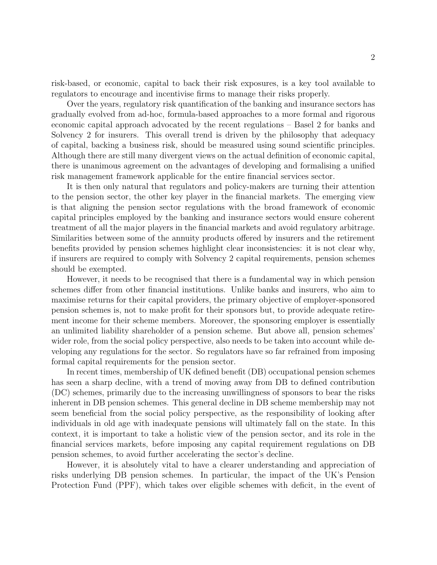risk-based, or economic, capital to back their risk exposures, is a key tool available to regulators to encourage and incentivise firms to manage their risks properly.

Over the years, regulatory risk quantification of the banking and insurance sectors has gradually evolved from ad-hoc, formula-based approaches to a more formal and rigorous economic capital approach advocated by the recent regulations – Basel 2 for banks and Solvency 2 for insurers. This overall trend is driven by the philosophy that adequacy of capital, backing a business risk, should be measured using sound scientific principles. Although there are still many divergent views on the actual definition of economic capital, there is unanimous agreement on the advantages of developing and formalising a unified risk management framework applicable for the entire financial services sector.

It is then only natural that regulators and policy-makers are turning their attention to the pension sector, the other key player in the financial markets. The emerging view is that aligning the pension sector regulations with the broad framework of economic capital principles employed by the banking and insurance sectors would ensure coherent treatment of all the major players in the financial markets and avoid regulatory arbitrage. Similarities between some of the annuity products offered by insurers and the retirement benefits provided by pension schemes highlight clear inconsistencies: it is not clear why, if insurers are required to comply with Solvency 2 capital requirements, pension schemes should be exempted.

However, it needs to be recognised that there is a fundamental way in which pension schemes differ from other financial institutions. Unlike banks and insurers, who aim to maximise returns for their capital providers, the primary objective of employer-sponsored pension schemes is, not to make profit for their sponsors but, to provide adequate retirement income for their scheme members. Moreover, the sponsoring employer is essentially an unlimited liability shareholder of a pension scheme. But above all, pension schemes' wider role, from the social policy perspective, also needs to be taken into account while developing any regulations for the sector. So regulators have so far refrained from imposing formal capital requirements for the pension sector.

In recent times, membership of UK defined benefit (DB) occupational pension schemes has seen a sharp decline, with a trend of moving away from DB to defined contribution (DC) schemes, primarily due to the increasing unwillingness of sponsors to bear the risks inherent in DB pension schemes. This general decline in DB scheme membership may not seem beneficial from the social policy perspective, as the responsibility of looking after individuals in old age with inadequate pensions will ultimately fall on the state. In this context, it is important to take a holistic view of the pension sector, and its role in the financial services markets, before imposing any capital requirement regulations on DB pension schemes, to avoid further accelerating the sector's decline.

However, it is absolutely vital to have a clearer understanding and appreciation of risks underlying DB pension schemes. In particular, the impact of the UK's Pension Protection Fund (PPF), which takes over eligible schemes with deficit, in the event of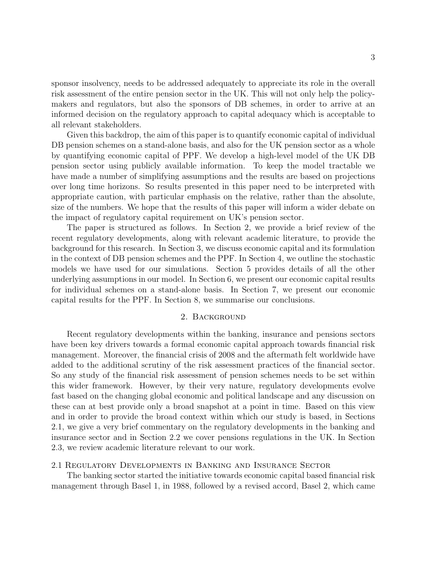sponsor insolvency, needs to be addressed adequately to appreciate its role in the overall risk assessment of the entire pension sector in the UK. This will not only help the policymakers and regulators, but also the sponsors of DB schemes, in order to arrive at an informed decision on the regulatory approach to capital adequacy which is acceptable to all relevant stakeholders.

Given this backdrop, the aim of this paper is to quantify economic capital of individual DB pension schemes on a stand-alone basis, and also for the UK pension sector as a whole by quantifying economic capital of PPF. We develop a high-level model of the UK DB pension sector using publicly available information. To keep the model tractable we have made a number of simplifying assumptions and the results are based on projections over long time horizons. So results presented in this paper need to be interpreted with appropriate caution, with particular emphasis on the relative, rather than the absolute, size of the numbers. We hope that the results of this paper will inform a wider debate on the impact of regulatory capital requirement on UK's pension sector.

The paper is structured as follows. In Section 2, we provide a brief review of the recent regulatory developments, along with relevant academic literature, to provide the background for this research. In Section 3, we discuss economic capital and its formulation in the context of DB pension schemes and the PPF. In Section 4, we outline the stochastic models we have used for our simulations. Section 5 provides details of all the other underlying assumptions in our model. In Section 6, we present our economic capital results for individual schemes on a stand-alone basis. In Section 7, we present our economic capital results for the PPF. In Section 8, we summarise our conclusions.

#### 2. Background

Recent regulatory developments within the banking, insurance and pensions sectors have been key drivers towards a formal economic capital approach towards financial risk management. Moreover, the financial crisis of 2008 and the aftermath felt worldwide have added to the additional scrutiny of the risk assessment practices of the financial sector. So any study of the financial risk assessment of pension schemes needs to be set within this wider framework. However, by their very nature, regulatory developments evolve fast based on the changing global economic and political landscape and any discussion on these can at best provide only a broad snapshot at a point in time. Based on this view and in order to provide the broad context within which our study is based, in Sections 2.1, we give a very brief commentary on the regulatory developments in the banking and insurance sector and in Section 2.2 we cover pensions regulations in the UK. In Section 2.3, we review academic literature relevant to our work.

#### 2.1 Regulatory Developments in Banking and Insurance Sector

The banking sector started the initiative towards economic capital based financial risk management through Basel 1, in 1988, followed by a revised accord, Basel 2, which came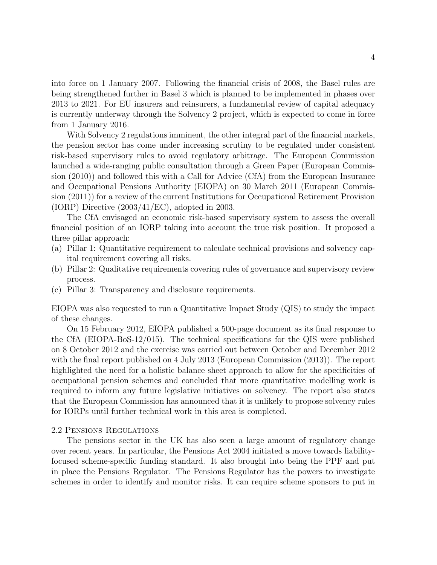into force on 1 January 2007. Following the financial crisis of 2008, the Basel rules are being strengthened further in Basel 3 which is planned to be implemented in phases over 2013 to 2021. For EU insurers and reinsurers, a fundamental review of capital adequacy is currently underway through the Solvency 2 project, which is expected to come in force from 1 January 2016.

With Solvency 2 regulations imminent, the other integral part of the financial markets, the pension sector has come under increasing scrutiny to be regulated under consistent risk-based supervisory rules to avoid regulatory arbitrage. The European Commission launched a wide-ranging public consultation through a Green Paper (European Commission (2010)) and followed this with a Call for Advice (CfA) from the European Insurance and Occupational Pensions Authority (EIOPA) on 30 March 2011 (European Commission (2011)) for a review of the current Institutions for Occupational Retirement Provision (IORP) Directive (2003/41/EC), adopted in 2003.

The CfA envisaged an economic risk-based supervisory system to assess the overall financial position of an IORP taking into account the true risk position. It proposed a three pillar approach:

- (a) Pillar 1: Quantitative requirement to calculate technical provisions and solvency capital requirement covering all risks.
- (b) Pillar 2: Qualitative requirements covering rules of governance and supervisory review process.
- (c) Pillar 3: Transparency and disclosure requirements.

EIOPA was also requested to run a Quantitative Impact Study (QIS) to study the impact of these changes.

On 15 February 2012, EIOPA published a 500-page document as its final response to the CfA (EIOPA-BoS-12/015). The technical specifications for the QIS were published on 8 October 2012 and the exercise was carried out between October and December 2012 with the final report published on 4 July 2013 (European Commission (2013)). The report highlighted the need for a holistic balance sheet approach to allow for the specificities of occupational pension schemes and concluded that more quantitative modelling work is required to inform any future legislative initiatives on solvency. The report also states that the European Commission has announced that it is unlikely to propose solvency rules for IORPs until further technical work in this area is completed.

#### 2.2 Pensions Regulations

The pensions sector in the UK has also seen a large amount of regulatory change over recent years. In particular, the Pensions Act 2004 initiated a move towards liabilityfocused scheme-specific funding standard. It also brought into being the PPF and put in place the Pensions Regulator. The Pensions Regulator has the powers to investigate schemes in order to identify and monitor risks. It can require scheme sponsors to put in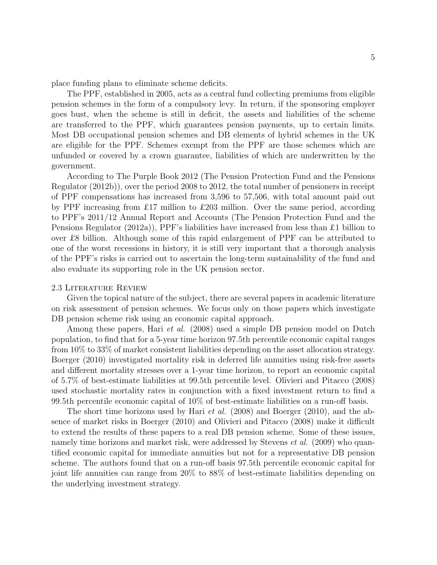place funding plans to eliminate scheme deficits.

The PPF, established in 2005, acts as a central fund collecting premiums from eligible pension schemes in the form of a compulsory levy. In return, if the sponsoring employer goes bust, when the scheme is still in deficit, the assets and liabilities of the scheme are transferred to the PPF, which guarantees pension payments, up to certain limits. Most DB occupational pension schemes and DB elements of hybrid schemes in the UK are eligible for the PPF. Schemes exempt from the PPF are those schemes which are unfunded or covered by a crown guarantee, liabilities of which are underwritten by the government.

According to The Purple Book 2012 (The Pension Protection Fund and the Pensions Regulator (2012b)), over the period 2008 to 2012, the total number of pensioners in receipt of PPF compensations has increased from 3,596 to 57,506, with total amount paid out by PPF increasing from £17 million to £203 million. Over the same period, according to PPF's 2011/12 Annual Report and Accounts (The Pension Protection Fund and the Pensions Regulator (2012a)), PPF's liabilities have increased from less than £1 billion to over £8 billion. Although some of this rapid enlargement of PPF can be attributed to one of the worst recessions in history, it is still very important that a thorough analysis of the PPF's risks is carried out to ascertain the long-term sustainability of the fund and also evaluate its supporting role in the UK pension sector.

#### 2.3 Literature Review

Given the topical nature of the subject, there are several papers in academic literature on risk assessment of pension schemes. We focus only on those papers which investigate DB pension scheme risk using an economic capital approach.

Among these papers, Hari *et al.* (2008) used a simple DB pension model on Dutch population, to find that for a 5-year time horizon 97.5th percentile economic capital ranges from 10% to 33% of market consistent liabilities depending on the asset allocation strategy. Boerger (2010) investigated mortality risk in deferred life annuities using risk-free assets and different mortality stresses over a 1-year time horizon, to report an economic capital of 5.7% of best-estimate liabilities at 99.5th percentile level. Olivieri and Pitacco (2008) used stochastic mortality rates in conjunction with a fixed investment return to find a 99.5th percentile economic capital of 10% of best-estimate liabilities on a run-off basis.

The short time horizons used by Hari et al. (2008) and Boerger (2010), and the absence of market risks in Boerger (2010) and Olivieri and Pitacco (2008) make it difficult to extend the results of these papers to a real DB pension scheme. Some of these issues, namely time horizons and market risk, were addressed by Stevens *et al.* (2009) who quantified economic capital for immediate annuities but not for a representative DB pension scheme. The authors found that on a run-off basis 97.5th percentile economic capital for joint life annuities can range from 20% to 88% of best-estimate liabilities depending on the underlying investment strategy.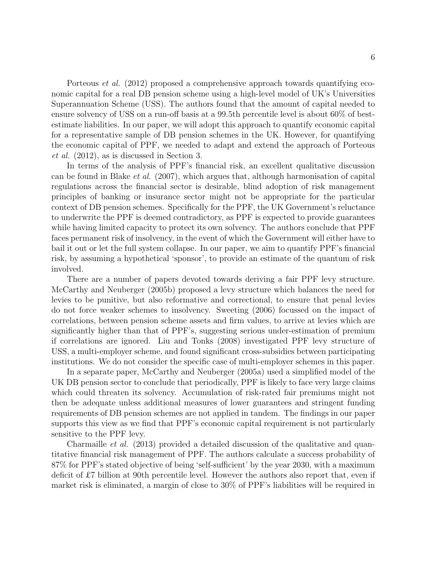Porteous *et al.* (2012) proposed a comprehensive approach towards quantifying economic capital for a real DB pension scheme using a high-level model of UK's Universities Superannuation Scheme (USS). The authors found that the amount of capital needed to ensure solvency of USS on a run-off basis at a 99.5th percentile level is about 60% of bestestimate liabilities. In our paper, we will adopt this approach to quantify economic capital for a representative sample of DB pension schemes in the UK. However, for quantifying the economic capital of PPF, we needed to adapt and extend the approach of Porteous et al. (2012), as is discussed in Section 3.

In terms of the analysis of PPF's financial risk, an excellent qualitative discussion can be found in Blake et al. (2007), which argues that, although harmonisation of capital regulations across the financial sector is desirable, blind adoption of risk management principles of banking or insurance sector might not be appropriate for the particular context of DB pension schemes. Specifically for the PPF, the UK Government's reluctance to underwrite the PPF is deemed contradictory, as PPF is expected to provide guarantees while having limited capacity to protect its own solvency. The authors conclude that PPF faces permanent risk of insolvency, in the event of which the Government will either have to bail it out or let the full system collapse. In our paper, we aim to quantify PPF's financial risk, by assuming a hypothetical 'sponsor', to provide an estimate of the quantum of risk involved.

There are a number of papers devoted towards deriving a fair PPF levy structure. McCarthy and Neuberger (2005b) proposed a levy structure which balances the need for levies to be punitive, but also reformative and correctional, to ensure that penal levies do not force weaker schemes to insolvency. Sweeting (2006) focussed on the impact of correlations, between pension scheme assets and firm values, to arrive at levies which are significantly higher than that of PPF's, suggesting serious under-estimation of premium if correlations are ignored. Liu and Tonks (2008) investigated PPF levy structure of USS, a multi-employer scheme, and found significant cross-subsidies between participating institutions. We do not consider the specific case of multi-employer schemes in this paper.

In a separate paper, McCarthy and Neuberger (2005a) used a simplified model of the UK DB pension sector to conclude that periodically, PPF is likely to face very large claims which could threaten its solvency. Accumulation of risk-rated fair premiums might not then be adequate unless additional measures of lower guarantees and stringent funding requirements of DB pension schemes are not applied in tandem. The findings in our paper supports this view as we find that PPF's economic capital requirement is not particularly sensitive to the PPF levy.

Charmaille *et al.* (2013) provided a detailed discussion of the qualitative and quantitative financial risk management of PPF. The authors calculate a success probability of 87% for PPF's stated objective of being 'self-sufficient' by the year 2030, with a maximum deficit of £7 billion at 90th percentile level. However the authors also report that, even if market risk is eliminated, a margin of close to 30% of PPF's liabilities will be required in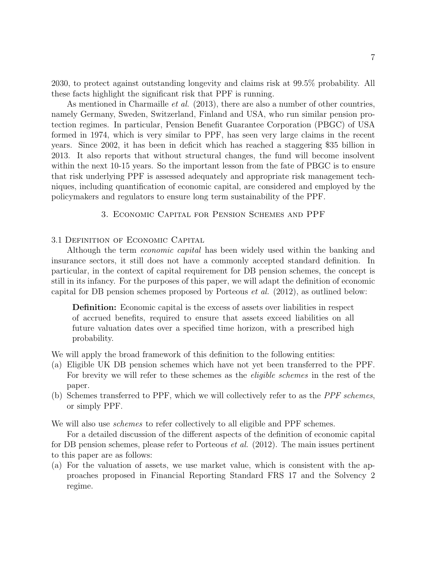2030, to protect against outstanding longevity and claims risk at 99.5% probability. All these facts highlight the significant risk that PPF is running.

As mentioned in Charmaille *et al.* (2013), there are also a number of other countries, namely Germany, Sweden, Switzerland, Finland and USA, who run similar pension protection regimes. In particular, Pension Benefit Guarantee Corporation (PBGC) of USA formed in 1974, which is very similar to PPF, has seen very large claims in the recent years. Since 2002, it has been in deficit which has reached a staggering \$35 billion in 2013. It also reports that without structural changes, the fund will become insolvent within the next 10-15 years. So the important lesson from the fate of PBGC is to ensure that risk underlying PPF is assessed adequately and appropriate risk management techniques, including quantification of economic capital, are considered and employed by the policymakers and regulators to ensure long term sustainability of the PPF.

3. Economic Capital for Pension Schemes and PPF

#### 3.1 Definition of Economic Capital

Although the term economic capital has been widely used within the banking and insurance sectors, it still does not have a commonly accepted standard definition. In particular, in the context of capital requirement for DB pension schemes, the concept is still in its infancy. For the purposes of this paper, we will adapt the definition of economic capital for DB pension schemes proposed by Porteous et al. (2012), as outlined below:

Definition: Economic capital is the excess of assets over liabilities in respect of accrued benefits, required to ensure that assets exceed liabilities on all future valuation dates over a specified time horizon, with a prescribed high probability.

We will apply the broad framework of this definition to the following entities:

- (a) Eligible UK DB pension schemes which have not yet been transferred to the PPF. For brevity we will refer to these schemes as the *eligible schemes* in the rest of the paper.
- (b) Schemes transferred to PPF, which we will collectively refer to as the PPF schemes, or simply PPF.
- We will also use *schemes* to refer collectively to all eligible and PPF schemes.

For a detailed discussion of the different aspects of the definition of economic capital for DB pension schemes, please refer to Porteous et al. (2012). The main issues pertinent to this paper are as follows:

(a) For the valuation of assets, we use market value, which is consistent with the approaches proposed in Financial Reporting Standard FRS 17 and the Solvency 2 regime.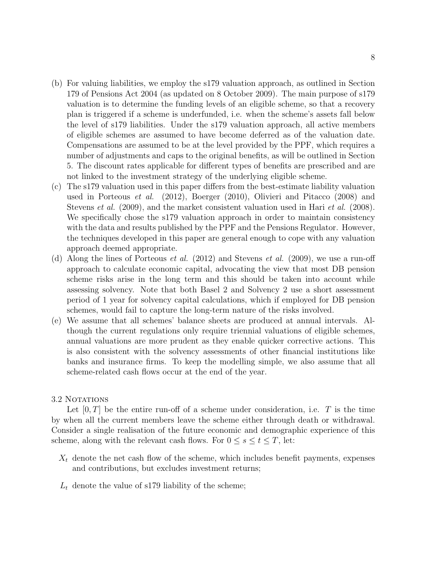- (b) For valuing liabilities, we employ the s179 valuation approach, as outlined in Section 179 of Pensions Act 2004 (as updated on 8 October 2009). The main purpose of s179 valuation is to determine the funding levels of an eligible scheme, so that a recovery plan is triggered if a scheme is underfunded, i.e. when the scheme's assets fall below the level of s179 liabilities. Under the s179 valuation approach, all active members of eligible schemes are assumed to have become deferred as of the valuation date. Compensations are assumed to be at the level provided by the PPF, which requires a number of adjustments and caps to the original benefits, as will be outlined in Section 5. The discount rates applicable for different types of benefits are prescribed and are not linked to the investment strategy of the underlying eligible scheme.
- (c) The s179 valuation used in this paper differs from the best-estimate liability valuation used in Porteous et al. (2012), Boerger (2010), Olivieri and Pitacco (2008) and Stevens *et al.* (2009), and the market consistent valuation used in Hari *et al.* (2008). We specifically chose the s179 valuation approach in order to maintain consistency with the data and results published by the PPF and the Pensions Regulator. However, the techniques developed in this paper are general enough to cope with any valuation approach deemed appropriate.
- (d) Along the lines of Porteous et al. (2012) and Stevens et al. (2009), we use a run-off approach to calculate economic capital, advocating the view that most DB pension scheme risks arise in the long term and this should be taken into account while assessing solvency. Note that both Basel 2 and Solvency 2 use a short assessment period of 1 year for solvency capital calculations, which if employed for DB pension schemes, would fail to capture the long-term nature of the risks involved.
- (e) We assume that all schemes' balance sheets are produced at annual intervals. Although the current regulations only require triennial valuations of eligible schemes, annual valuations are more prudent as they enable quicker corrective actions. This is also consistent with the solvency assessments of other financial institutions like banks and insurance firms. To keep the modelling simple, we also assume that all scheme-related cash flows occur at the end of the year.

#### 3.2 NOTATIONS

Let  $[0, T]$  be the entire run-off of a scheme under consideration, i.e. T is the time by when all the current members leave the scheme either through death or withdrawal. Consider a single realisation of the future economic and demographic experience of this scheme, along with the relevant cash flows. For  $0 \leq s \leq t \leq T$ , let:

- $X_t$  denote the net cash flow of the scheme, which includes benefit payments, expenses and contributions, but excludes investment returns;
- $L_t$  denote the value of s179 liability of the scheme;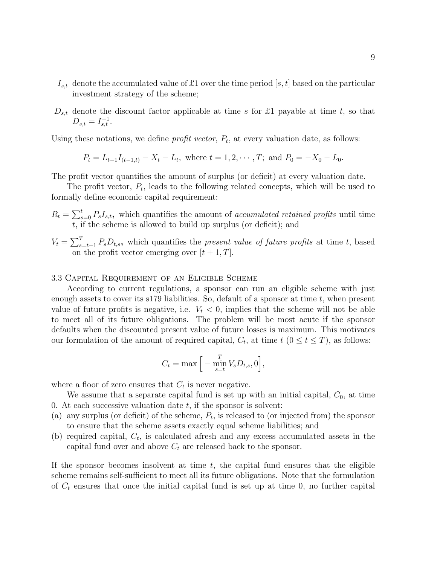- $I_{s,t}$  denote the accumulated value of £1 over the time period [s, t] based on the particular investment strategy of the scheme;
- $D_{s,t}$  denote the discount factor applicable at time s for £1 payable at time t, so that  $D_{s,t} = I_{s,t}^{-1}.$

Using these notations, we define *profit vector*,  $P_t$ , at every valuation date, as follows:

$$
P_t = L_{t-1}I_{(t-1,t)} - X_t - L_t
$$
, where  $t = 1, 2, \dots, T$ ; and  $P_0 = -X_0 - L_0$ .

The profit vector quantifies the amount of surplus (or deficit) at every valuation date.

The profit vector,  $P_t$ , leads to the following related concepts, which will be used to formally define economic capital requirement:

- $R_t = \sum_{s=0}^{t} P_s I_{s,t}$ , which quantifies the amount of accumulated retained profits until time t, if the scheme is allowed to build up surplus (or deficit); and
- $V_t = \sum_{s=t+1}^{T} P_s D_{t,s}$ , which quantifies the *present value of future profits* at time t, based on the profit vector emerging over  $[t + 1, T]$ .

#### 3.3 Capital Requirement of an Eligible Scheme

According to current regulations, a sponsor can run an eligible scheme with just enough assets to cover its s179 liabilities. So, default of a sponsor at time  $t$ , when present value of future profits is negative, i.e.  $V_t < 0$ , implies that the scheme will not be able to meet all of its future obligations. The problem will be most acute if the sponsor defaults when the discounted present value of future losses is maximum. This motivates our formulation of the amount of required capital,  $C_t$ , at time  $t$   $(0 \le t \le T)$ , as follows:

$$
C_t = \max\Big[-\min_{s=t}^T V_s D_{t,s}, 0\Big],
$$

where a floor of zero ensures that  $C_t$  is never negative.

We assume that a separate capital fund is set up with an initial capital,  $C_0$ , at time 0. At each successive valuation date  $t$ , if the sponsor is solvent:

- (a) any surplus (or deficit) of the scheme,  $P_t$ , is released to (or injected from) the sponsor to ensure that the scheme assets exactly equal scheme liabilities; and
- (b) required capital,  $C_t$ , is calculated afresh and any excess accumulated assets in the capital fund over and above  $C_t$  are released back to the sponsor.

If the sponsor becomes insolvent at time  $t$ , the capital fund ensures that the eligible scheme remains self-sufficient to meet all its future obligations. Note that the formulation of  $C_t$  ensures that once the initial capital fund is set up at time 0, no further capital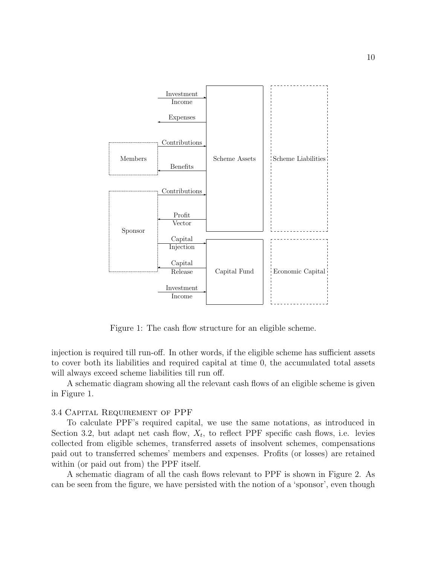

Figure 1: The cash flow structure for an eligible scheme.

injection is required till run-off. In other words, if the eligible scheme has sufficient assets to cover both its liabilities and required capital at time 0, the accumulated total assets will always exceed scheme liabilities till run off.

A schematic diagram showing all the relevant cash flows of an eligible scheme is given in Figure 1.

#### 3.4 Capital Requirement of PPF

To calculate PPF's required capital, we use the same notations, as introduced in Section 3.2, but adapt net cash flow,  $X_t$ , to reflect PPF specific cash flows, i.e. levies collected from eligible schemes, transferred assets of insolvent schemes, compensations paid out to transferred schemes' members and expenses. Profits (or losses) are retained within (or paid out from) the PPF itself.

A schematic diagram of all the cash flows relevant to PPF is shown in Figure 2. As can be seen from the figure, we have persisted with the notion of a 'sponsor', even though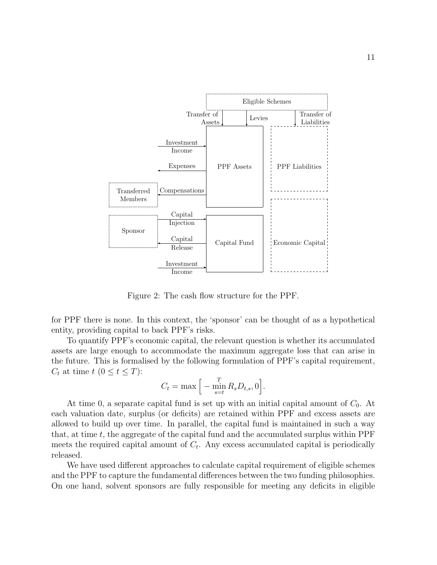

Figure 2: The cash flow structure for the PPF.

for PPF there is none. In this context, the 'sponsor' can be thought of as a hypothetical entity, providing capital to back PPF's risks.

To quantify PPF's economic capital, the relevant question is whether its accumulated assets are large enough to accommodate the maximum aggregate loss that can arise in the future. This is formalised by the following formulation of PPF's capital requirement,  $C_t$  at time  $t$   $(0 \leq t \leq T)$ :

$$
C_t = \max \Big[ - \min_{s=t}^{T} R_s D_{t,s}, 0 \Big].
$$

At time 0, a separate capital fund is set up with an initial capital amount of  $C_0$ . At each valuation date, surplus (or deficits) are retained within PPF and excess assets are allowed to build up over time. In parallel, the capital fund is maintained in such a way that, at time  $t$ , the aggregate of the capital fund and the accumulated surplus within  $\rm{PPF}$ meets the required capital amount of  $C_t$ . Any excess accumulated capital is periodically released.

We have used different approaches to calculate capital requirement of eligible schemes and the PPF to capture the fundamental differences between the two funding philosophies. On one hand, solvent sponsors are fully responsible for meeting any deficits in eligible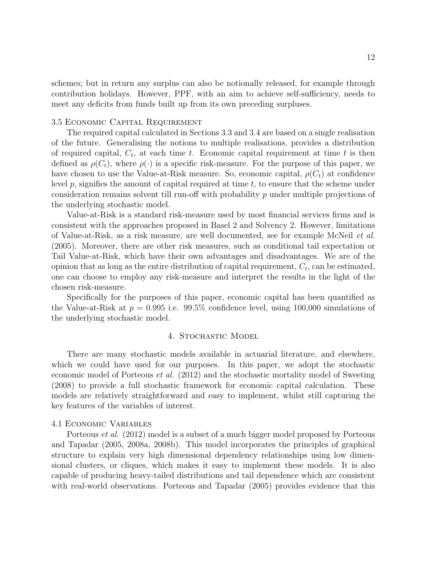schemes; but in return any surplus can also be notionally released, for example through contribution holidays. However, PPF, with an aim to achieve self-sufficiency, needs to meet any deficits from funds built up from its own preceding surpluses.

#### 3.5 Economic Capital Requirement

The required capital calculated in Sections 3.3 and 3.4 are based on a single realisation of the future. Generalising the notions to multiple realisations, provides a distribution of required capital,  $C_t$ , at each time t. Economic capital requirement at time t is then defined as  $\rho(C_t)$ , where  $\rho(\cdot)$  is a specific risk-measure. For the purpose of this paper, we have chosen to use the Value-at-Risk measure. So, economic capital,  $\rho(C_t)$  at confidence level  $p$ , signifies the amount of capital required at time  $t$ , to ensure that the scheme under consideration remains solvent till run-off with probability p under multiple projections of the underlying stochastic model.

Value-at-Risk is a standard risk-measure used by most financial services firms and is consistent with the approaches proposed in Basel 2 and Solvency 2. However, limitations of Value-at-Risk, as a risk measure, are well documented, see for example McNeil et al. (2005). Moreover, there are other risk measures, such as conditional tail expectation or Tail Value-at-Risk, which have their own advantages and disadvantages. We are of the opinion that as long as the entire distribution of capital requirement,  $C_t$ , can be estimated, one can choose to employ any risk-measure and interpret the results in the light of the chosen risk-measure.

Specifically for the purposes of this paper, economic capital has been quantified as the Value-at-Risk at  $p = 0.995$  i.e. 99.5% confidence level, using 100,000 simulations of the underlying stochastic model.

#### 4. Stochastic Model

There are many stochastic models available in actuarial literature, and elsewhere, which we could have used for our purposes. In this paper, we adopt the stochastic economic model of Porteous et al. (2012) and the stochastic mortality model of Sweeting (2008) to provide a full stochastic framework for economic capital calculation. These models are relatively straightforward and easy to implement, whilst still capturing the key features of the variables of interest.

#### 4.1 Economic Variables

Porteous et al. (2012) model is a subset of a much bigger model proposed by Porteous and Tapadar (2005, 2008a, 2008b). This model incorporates the principles of graphical structure to explain very high dimensional dependency relationships using low dimensional clusters, or cliques, which makes it easy to implement these models. It is also capable of producing heavy-tailed distributions and tail dependence which are consistent with real-world observations. Porteous and Tapadar (2005) provides evidence that this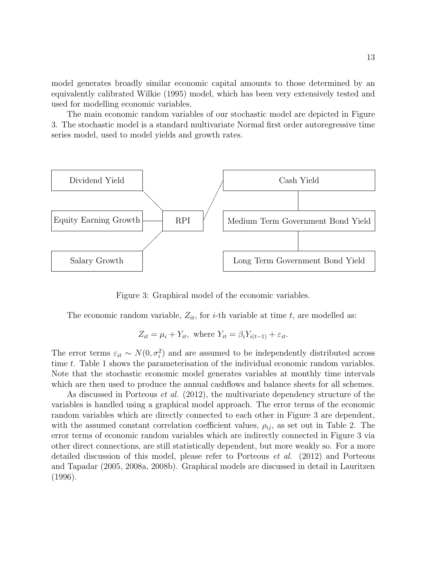model generates broadly similar economic capital amounts to those determined by an equivalently calibrated Wilkie (1995) model, which has been very extensively tested and used for modelling economic variables.

The main economic random variables of our stochastic model are depicted in Figure 3. The stochastic model is a standard multivariate Normal first order autoregressive time series model, used to model yields and growth rates.



Figure 3: Graphical model of the economic variables.

The economic random variable,  $Z_{it}$ , for *i*-th variable at time *t*, are modelled as:

$$
Z_{it} = \mu_i + Y_{it}, \text{ where } Y_{it} = \beta_i Y_{i(t-1)} + \varepsilon_{it}.
$$

The error terms  $\varepsilon_{it} \sim N(0, \sigma_i^2)$  and are assumed to be independently distributed across time t. Table 1 shows the parameterisation of the individual economic random variables. Note that the stochastic economic model generates variables at monthly time intervals which are then used to produce the annual cashflows and balance sheets for all schemes.

As discussed in Porteous et al. (2012), the multivariate dependency structure of the variables is handled using a graphical model approach. The error terms of the economic random variables which are directly connected to each other in Figure 3 are dependent, with the assumed constant correlation coefficient values,  $\rho_{ij}$ , as set out in Table 2. The error terms of economic random variables which are indirectly connected in Figure 3 via other direct connections, are still statistically dependent, but more weakly so. For a more detailed discussion of this model, please refer to Porteous et al. (2012) and Porteous and Tapadar (2005, 2008a, 2008b). Graphical models are discussed in detail in Lauritzen (1996).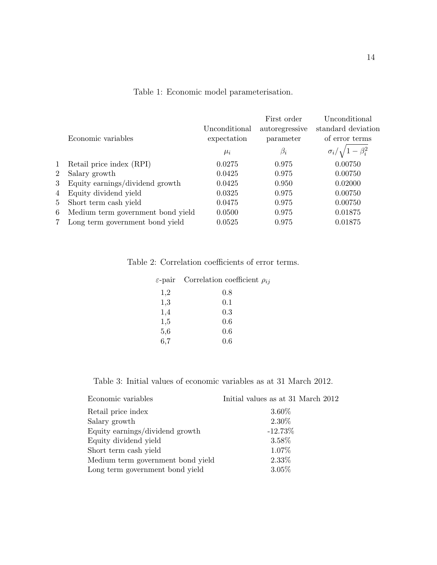|                |                                   | Unconditional | First order<br>autoregressive | Unconditional<br>standard deviation |
|----------------|-----------------------------------|---------------|-------------------------------|-------------------------------------|
|                | Economic variables                | expectation   | parameter                     | of error terms                      |
|                |                                   | $\mu_i$       | $\beta_i$                     | $\sigma_i/\sqrt{1-\beta_i^2}$       |
| $\mathbf 1$    | Retail price index (RPI)          | 0.0275        | 0.975                         | 0.00750                             |
| $\overline{2}$ | Salary growth                     | 0.0425        | 0.975                         | 0.00750                             |
| 3              | Equity earnings/dividend growth   | 0.0425        | 0.950                         | 0.02000                             |
| 4              | Equity dividend yield             | 0.0325        | 0.975                         | 0.00750                             |
| 5              | Short term cash yield             | 0.0475        | 0.975                         | 0.00750                             |
| 6              | Medium term government bond yield | 0.0500        | 0.975                         | 0.01875                             |
| 7              | Long term government bond yield   | 0.0525        | 0.975                         | 0.01875                             |
|                |                                   |               |                               |                                     |

#### Table 1: Economic model parameterisation.

Table 2: Correlation coefficients of error terms.

| $\varepsilon$ -pair | Correlation coefficient $\rho_{ij}$ |
|---------------------|-------------------------------------|
| 1,2                 | 0.8                                 |
| 1,3                 | 0.1                                 |
| 1,4                 | 0.3                                 |
| 1,5                 | 0.6                                 |
| 5,6                 | 0.6                                 |
| 6,7                 | 0.6                                 |
|                     |                                     |

Table 3: Initial values of economic variables as at 31 March 2012.

| Economic variables                | Initial values as at 31 March 2012 |
|-----------------------------------|------------------------------------|
| Retail price index                | 3.60%                              |
| Salary growth                     | 2.30\%                             |
| Equity earnings/dividend growth   | $-12.73\%$                         |
| Equity dividend yield             | 3.58%                              |
| Short term cash yield             | 1.07%                              |
| Medium term government bond yield | 2.33%                              |
| Long term government bond yield   | $3.05\%$                           |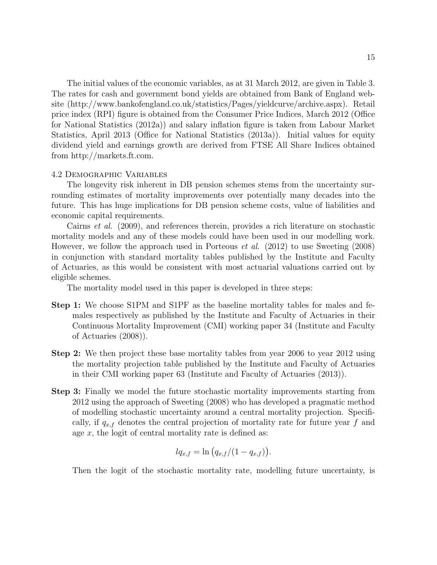The initial values of the economic variables, as at 31 March 2012, are given in Table 3. The rates for cash and government bond yields are obtained from Bank of England website (http://www.bankofengland.co.uk/statistics/Pages/yieldcurve/archive.aspx). Retail price index (RPI) figure is obtained from the Consumer Price Indices, March 2012 (Office for National Statistics (2012a)) and salary inflation figure is taken from Labour Market Statistics, April 2013 (Office for National Statistics (2013a)). Initial values for equity dividend yield and earnings growth are derived from FTSE All Share Indices obtained from http://markets.ft.com.

#### 4.2 Demographic Variables

The longevity risk inherent in DB pension schemes stems from the uncertainty surrounding estimates of mortality improvements over potentially many decades into the future. This has huge implications for DB pension scheme costs, value of liabilities and economic capital requirements.

Cairns et al. (2009), and references therein, provides a rich literature on stochastic mortality models and any of these models could have been used in our modelling work. However, we follow the approach used in Porteous et al. (2012) to use Sweeting (2008) in conjunction with standard mortality tables published by the Institute and Faculty of Actuaries, as this would be consistent with most actuarial valuations carried out by eligible schemes.

The mortality model used in this paper is developed in three steps:

- Step 1: We choose S1PM and S1PF as the baseline mortality tables for males and females respectively as published by the Institute and Faculty of Actuaries in their Continuous Mortality Improvement (CMI) working paper 34 (Institute and Faculty of Actuaries (2008)).
- Step 2: We then project these base mortality tables from year 2006 to year 2012 using the mortality projection table published by the Institute and Faculty of Actuaries in their CMI working paper 63 (Institute and Faculty of Actuaries (2013)).
- Step 3: Finally we model the future stochastic mortality improvements starting from 2012 using the approach of Sweeting (2008) who has developed a pragmatic method of modelling stochastic uncertainty around a central mortality projection. Specifically, if  $q_{x,f}$  denotes the central projection of mortality rate for future year f and age  $x$ , the logit of central mortality rate is defined as:

$$
lq_{x,f} = \ln (q_{x,f}/(1-q_{x,f})).
$$

Then the logit of the stochastic mortality rate, modelling future uncertainty, is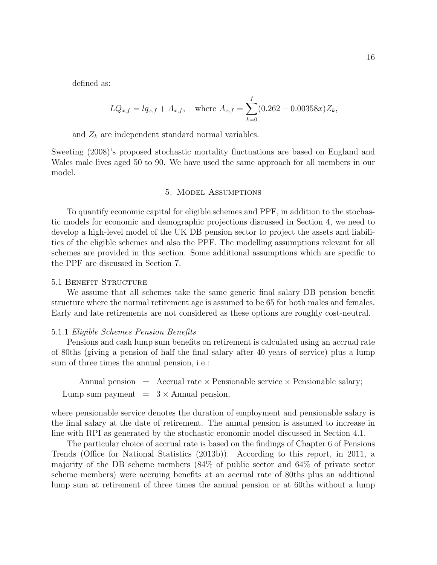defined as:

$$
LQ_{x,f} = lq_{x,f} + A_{x,f}, \text{ where } A_{x,f} = \sum_{k=0}^{f} (0.262 - 0.00358x) Z_k,
$$

and  $Z_k$  are independent standard normal variables.

Sweeting (2008)'s proposed stochastic mortality fluctuations are based on England and Wales male lives aged 50 to 90. We have used the same approach for all members in our model.

#### 5. Model Assumptions

To quantify economic capital for eligible schemes and PPF, in addition to the stochastic models for economic and demographic projections discussed in Section 4, we need to develop a high-level model of the UK DB pension sector to project the assets and liabilities of the eligible schemes and also the PPF. The modelling assumptions relevant for all schemes are provided in this section. Some additional assumptions which are specific to the PPF are discussed in Section 7.

#### 5.1 Benefit Structure

We assume that all schemes take the same generic final salary DB pension benefit structure where the normal retirement age is assumed to be 65 for both males and females. Early and late retirements are not considered as these options are roughly cost-neutral.

#### 5.1.1 Eligible Schemes Pension Benefits

Pensions and cash lump sum benefits on retirement is calculated using an accrual rate of 80ths (giving a pension of half the final salary after 40 years of service) plus a lump sum of three times the annual pension, i.e.:

Annual pension  $=$  Accrual rate  $\times$  Pensionable service  $\times$  Pensionable salary; Lump sum payment  $= 3 \times$  Annual pension,

where pensionable service denotes the duration of employment and pensionable salary is the final salary at the date of retirement. The annual pension is assumed to increase in line with RPI as generated by the stochastic economic model discussed in Section 4.1.

The particular choice of accrual rate is based on the findings of Chapter 6 of Pensions Trends (Office for National Statistics (2013b)). According to this report, in 2011, a majority of the DB scheme members (84% of public sector and 64% of private sector scheme members) were accruing benefits at an accrual rate of 80ths plus an additional lump sum at retirement of three times the annual pension or at 60ths without a lump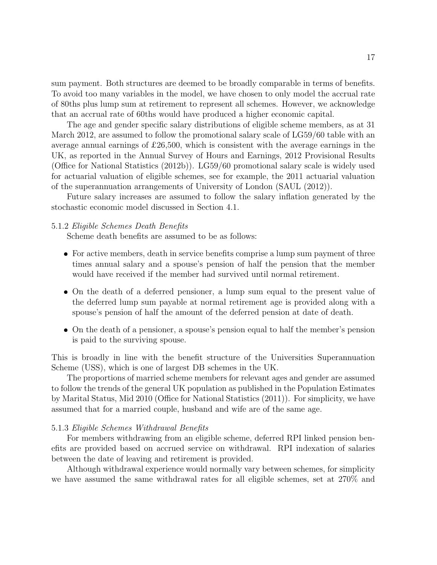sum payment. Both structures are deemed to be broadly comparable in terms of benefits. To avoid too many variables in the model, we have chosen to only model the accrual rate of 80ths plus lump sum at retirement to represent all schemes. However, we acknowledge that an accrual rate of 60ths would have produced a higher economic capital.

The age and gender specific salary distributions of eligible scheme members, as at 31 March 2012, are assumed to follow the promotional salary scale of LG59/60 table with an average annual earnings of £26,500, which is consistent with the average earnings in the UK, as reported in the Annual Survey of Hours and Earnings, 2012 Provisional Results (Office for National Statistics (2012b)). LG59/60 promotional salary scale is widely used for actuarial valuation of eligible schemes, see for example, the 2011 actuarial valuation of the superannuation arrangements of University of London (SAUL (2012)).

Future salary increases are assumed to follow the salary inflation generated by the stochastic economic model discussed in Section 4.1.

#### 5.1.2 Eligible Schemes Death Benefits

Scheme death benefits are assumed to be as follows:

- For active members, death in service benefits comprise a lump sum payment of three times annual salary and a spouse's pension of half the pension that the member would have received if the member had survived until normal retirement.
- On the death of a deferred pensioner, a lump sum equal to the present value of the deferred lump sum payable at normal retirement age is provided along with a spouse's pension of half the amount of the deferred pension at date of death.
- On the death of a pensioner, a spouse's pension equal to half the member's pension is paid to the surviving spouse.

This is broadly in line with the benefit structure of the Universities Superannuation Scheme (USS), which is one of largest DB schemes in the UK.

The proportions of married scheme members for relevant ages and gender are assumed to follow the trends of the general UK population as published in the Population Estimates by Marital Status, Mid 2010 (Office for National Statistics (2011)). For simplicity, we have assumed that for a married couple, husband and wife are of the same age.

#### 5.1.3 Eligible Schemes Withdrawal Benefits

For members withdrawing from an eligible scheme, deferred RPI linked pension benefits are provided based on accrued service on withdrawal. RPI indexation of salaries between the date of leaving and retirement is provided.

Although withdrawal experience would normally vary between schemes, for simplicity we have assumed the same withdrawal rates for all eligible schemes, set at 270% and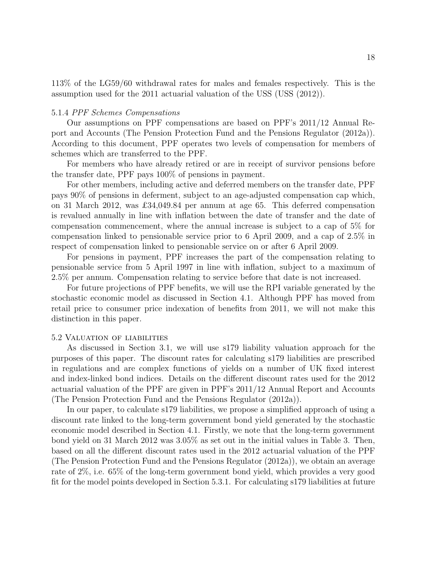113% of the LG59/60 withdrawal rates for males and females respectively. This is the assumption used for the 2011 actuarial valuation of the USS (USS (2012)).

#### 5.1.4 PPF Schemes Compensations

Our assumptions on PPF compensations are based on PPF's 2011/12 Annual Report and Accounts (The Pension Protection Fund and the Pensions Regulator (2012a)). According to this document, PPF operates two levels of compensation for members of schemes which are transferred to the PPF.

For members who have already retired or are in receipt of survivor pensions before the transfer date, PPF pays 100% of pensions in payment.

For other members, including active and deferred members on the transfer date, PPF pays 90% of pensions in deferment, subject to an age-adjusted compensation cap which, on 31 March 2012, was £34,049.84 per annum at age 65. This deferred compensation is revalued annually in line with inflation between the date of transfer and the date of compensation commencement, where the annual increase is subject to a cap of 5% for compensation linked to pensionable service prior to 6 April 2009, and a cap of 2.5% in respect of compensation linked to pensionable service on or after 6 April 2009.

For pensions in payment, PPF increases the part of the compensation relating to pensionable service from 5 April 1997 in line with inflation, subject to a maximum of 2.5% per annum. Compensation relating to service before that date is not increased.

For future projections of PPF benefits, we will use the RPI variable generated by the stochastic economic model as discussed in Section 4.1. Although PPF has moved from retail price to consumer price indexation of benefits from 2011, we will not make this distinction in this paper.

#### 5.2 Valuation of liabilities

As discussed in Section 3.1, we will use s179 liability valuation approach for the purposes of this paper. The discount rates for calculating s179 liabilities are prescribed in regulations and are complex functions of yields on a number of UK fixed interest and index-linked bond indices. Details on the different discount rates used for the 2012 actuarial valuation of the PPF are given in PPF's 2011/12 Annual Report and Accounts (The Pension Protection Fund and the Pensions Regulator (2012a)).

In our paper, to calculate s179 liabilities, we propose a simplified approach of using a discount rate linked to the long-term government bond yield generated by the stochastic economic model described in Section 4.1. Firstly, we note that the long-term government bond yield on 31 March 2012 was 3.05% as set out in the initial values in Table 3. Then, based on all the different discount rates used in the 2012 actuarial valuation of the PPF (The Pension Protection Fund and the Pensions Regulator (2012a)), we obtain an average rate of 2%, i.e. 65% of the long-term government bond yield, which provides a very good fit for the model points developed in Section 5.3.1. For calculating s179 liabilities at future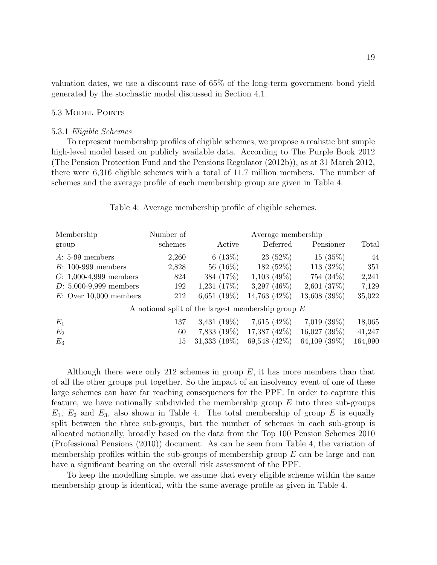valuation dates, we use a discount rate of 65% of the long-term government bond yield generated by the stochastic model discussed in Section 4.1.

#### 5.3 Model Points

#### 5.3.1 Eligible Schemes

To represent membership profiles of eligible schemes, we propose a realistic but simple high-level model based on publicly available data. According to The Purple Book 2012 (The Pension Protection Fund and the Pensions Regulator (2012b)), as at 31 March 2012, there were 6,316 eligible schemes with a total of 11.7 million members. The number of schemes and the average profile of each membership group are given in Table 4.

| Membership                                           | Number of | Average membership |                   |                   |         |  |
|------------------------------------------------------|-----------|--------------------|-------------------|-------------------|---------|--|
| group                                                | schemes   | Active             | Deferred          | Pensioner         | Total   |  |
| $A: 5-99$ members                                    | 2,260     | 6(13%)             | 23(52%)           | 15(35%)           | 44      |  |
| $B: 100-999$ members                                 | 2,828     | 56 (16%)           | 182(52%)          | 113 $(32%)$       | 351     |  |
| $C: 1,000-4,999$ members                             | 824       | 384 (17%)          | $1,103$ (49\%)    | 754 (34%)         | 2,241   |  |
| $D: 5,000-9,999$ members                             | 192       | $1,231$ $(17\%)$   | 3,297 $(46\%)$    | 2,601(37%)        | 7,129   |  |
| $E:$ Over 10,000 members                             | 212       | 6,651 $(19\%)$     | 14,763 (42\%)     | 13,608 (39%)      | 35,022  |  |
| A notional split of the largest membership group $E$ |           |                    |                   |                   |         |  |
| $E_1$                                                | 137       | $3,431(19\%)$      | 7,615 $(42\%)$    | $7,019$ $(39\%)$  | 18,065  |  |
| $E_2$                                                | 60        | $7,833(19\%)$      | $17,387$ $(42\%)$ | $16,027$ (39%)    | 41,247  |  |
| $E_3$                                                | 15        | $31,333$ $(19\%)$  | 69,548 (42\%)     | $64,109$ $(39\%)$ | 164,990 |  |

#### Table 4: Average membership profile of eligible schemes.

Although there were only 212 schemes in group  $E$ , it has more members than that of all the other groups put together. So the impact of an insolvency event of one of these large schemes can have far reaching consequences for the PPF. In order to capture this feature, we have notionally subdivided the membership group  $E$  into three sub-groups  $E_1, E_2$  and  $E_3$ , also shown in Table 4. The total membership of group E is equally split between the three sub-groups, but the number of schemes in each sub-group is allocated notionally, broadly based on the data from the Top 100 Pension Schemes 2010 (Professional Pensions (2010)) document. As can be seen from Table 4, the variation of membership profiles within the sub-groups of membership group  $E$  can be large and can have a significant bearing on the overall risk assessment of the PPF.

To keep the modelling simple, we assume that every eligible scheme within the same membership group is identical, with the same average profile as given in Table 4.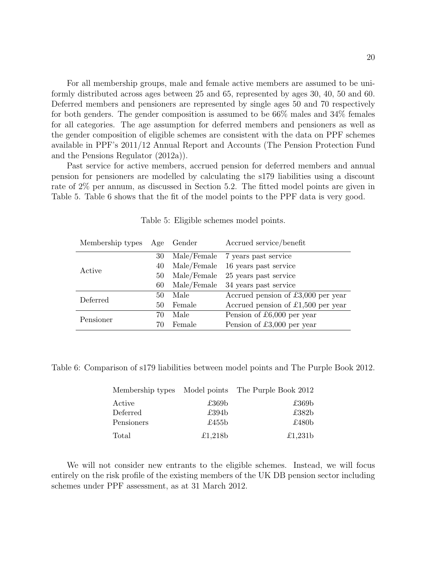For all membership groups, male and female active members are assumed to be uniformly distributed across ages between 25 and 65, represented by ages 30, 40, 50 and 60. Deferred members and pensioners are represented by single ages 50 and 70 respectively for both genders. The gender composition is assumed to be 66% males and 34% females for all categories. The age assumption for deferred members and pensioners as well as the gender composition of eligible schemes are consistent with the data on PPF schemes available in PPF's 2011/12 Annual Report and Accounts (The Pension Protection Fund and the Pensions Regulator (2012a)).

Past service for active members, accrued pension for deferred members and annual pension for pensioners are modelled by calculating the s179 liabilities using a discount rate of 2% per annum, as discussed in Section 5.2. The fitted model points are given in Table 5. Table 6 shows that the fit of the model points to the PPF data is very good.

| Membership types Age Gender |    |             | Accrued service/benefit              |
|-----------------------------|----|-------------|--------------------------------------|
|                             | 30 |             | Male/Female 7 years past service     |
| Active                      | 40 | Male/Female | 16 years past service                |
|                             | 50 | Male/Female | 25 years past service                |
|                             | 60 | Male/Female | 34 years past service                |
| Deferred                    | 50 | Male        | Accrued pension of $£3,000$ per year |
|                             | 50 | Female      | Accrued pension of $£1,500$ per year |
| Pensioner                   | 70 | Male        | Pension of £6,000 per year           |
|                             | 70 | Female      | Pension of £3,000 per year           |

Table 5: Eligible schemes model points.

Table 6: Comparison of s179 liabilities between model points and The Purple Book 2012.

|            |                   | Membership types Model points The Purple Book 2012 |
|------------|-------------------|----------------------------------------------------|
| Active     | £369 <sub>b</sub> | £369 <sub>b</sub>                                  |
| Deferred   | £394 <sub>b</sub> | £382 <sub>b</sub>                                  |
| Pensioners | £455 $b$          | £480 <sub>b</sub>                                  |
| Total      | £1,218b           | £1,231 $b$                                         |

We will not consider new entrants to the eligible schemes. Instead, we will focus entirely on the risk profile of the existing members of the UK DB pension sector including schemes under PPF assessment, as at 31 March 2012.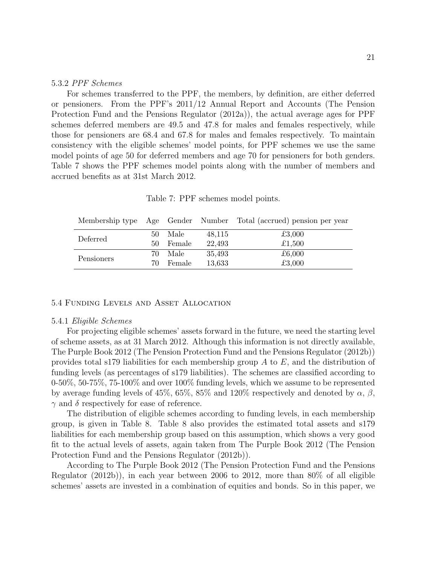#### 5.3.2 PPF Schemes

For schemes transferred to the PPF, the members, by definition, are either deferred or pensioners. From the PPF's 2011/12 Annual Report and Accounts (The Pension Protection Fund and the Pensions Regulator (2012a)), the actual average ages for PPF schemes deferred members are 49.5 and 47.8 for males and females respectively, while those for pensioners are 68.4 and 67.8 for males and females respectively. To maintain consistency with the eligible schemes' model points, for PPF schemes we use the same model points of age 50 for deferred members and age 70 for pensioners for both genders. Table 7 shows the PPF schemes model points along with the number of members and accrued benefits as at 31st March 2012.

Table 7: PPF schemes model points.

|            |     |        |        | Membership type Age Gender Number Total (accrued) pension per year |
|------------|-----|--------|--------|--------------------------------------------------------------------|
| Deferred   | 50  | - Male | 48,115 | £3,000                                                             |
|            | 50- | Female | 22,493 | £1,500                                                             |
| Pensioners | 70. | Male   | 35,493 | £6,000                                                             |
|            | 70. | Female | 13,633 | £3,000                                                             |

#### 5.4 Funding Levels and Asset Allocation

#### 5.4.1 Eligible Schemes

For projecting eligible schemes' assets forward in the future, we need the starting level of scheme assets, as at 31 March 2012. Although this information is not directly available, The Purple Book 2012 (The Pension Protection Fund and the Pensions Regulator (2012b)) provides total s179 liabilities for each membership group  $A$  to  $E$ , and the distribution of funding levels (as percentages of s179 liabilities). The schemes are classified according to 0-50%, 50-75%, 75-100% and over 100% funding levels, which we assume to be represented by average funding levels of 45%, 65%, 85% and 120% respectively and denoted by  $\alpha$ ,  $\beta$ ,  $\gamma$  and  $\delta$  respectively for ease of reference.

The distribution of eligible schemes according to funding levels, in each membership group, is given in Table 8. Table 8 also provides the estimated total assets and s179 liabilities for each membership group based on this assumption, which shows a very good fit to the actual levels of assets, again taken from The Purple Book 2012 (The Pension Protection Fund and the Pensions Regulator (2012b)).

According to The Purple Book 2012 (The Pension Protection Fund and the Pensions Regulator (2012b)), in each year between 2006 to 2012, more than 80% of all eligible schemes' assets are invested in a combination of equities and bonds. So in this paper, we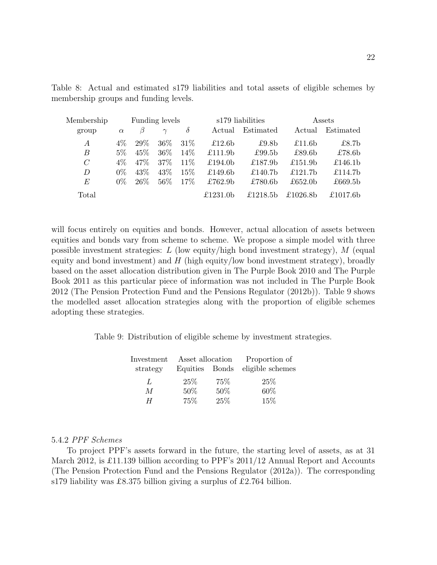| Membership     | Funding levels |         |          |          | s179 liabilities    |                   | Assets             |                     |
|----------------|----------------|---------|----------|----------|---------------------|-------------------|--------------------|---------------------|
| group          | $\alpha$       | $\beta$ | $\gamma$ | $\delta$ | Actual              | Estimated         | Actual             | Estimated           |
| $\overline{A}$ | $4\%$          | 29\%    | $36\%$   | $31\%$   | £12.6 $b$           | £9.8 <sub>b</sub> | £11.6 $b$          | £8.7 <sub>b</sub>   |
| B              | $5\%$          | 45%     | $36\%$   | $14\%$   | £111.9 <sub>b</sub> | £99.5 $b$         | £89.6 <sub>b</sub> | £78.6 $b$           |
| $\mathcal{C}$  | $4\%$          | $47\%$  | $37\%$   | $11\%$   | £194.0b             | £187.9 $b$        | £151.9b            | £146.1 <sub>b</sub> |
| D              | $0\%$          | 43\%    | 43\%     | $15\%$   | £149.6 $b$          | £140.7 $b$        | £121.7 $b$         | £114.7b             |
| E              | $0\%$          | $26\%$  | $56\%$   | $17\%$   | £762.9b             | £780.6b           | £652.0b            | £669.5b             |
| Total          |                |         |          |          | £1231.0 $b$         | £1218.5 $b$       | £1026.8b           | £1017.6b            |

Table 8: Actual and estimated s179 liabilities and total assets of eligible schemes by membership groups and funding levels.

will focus entirely on equities and bonds. However, actual allocation of assets between equities and bonds vary from scheme to scheme. We propose a simple model with three possible investment strategies:  $L$  (low equity/high bond investment strategy),  $M$  (equal equity and bond investment) and  $H$  (high equity/low bond investment strategy), broadly based on the asset allocation distribution given in The Purple Book 2010 and The Purple Book 2011 as this particular piece of information was not included in The Purple Book 2012 (The Pension Protection Fund and the Pensions Regulator (2012b)). Table 9 shows the modelled asset allocation strategies along with the proportion of eligible schemes adopting these strategies.

Table 9: Distribution of eligible scheme by investment strategies.

| Investment     | Asset allocation |     | Proportion of    |
|----------------|------------------|-----|------------------|
| strategy       | Equities Bonds   |     | eligible schemes |
| $\mathbf{I}$   | $25\%$           | 75% | 25%              |
| $\overline{M}$ | 50%              | 50% | 60%              |
| H              | 75%              | 25% | 15\%             |

#### 5.4.2 PPF Schemes

To project PPF's assets forward in the future, the starting level of assets, as at 31 March 2012, is £11.139 billion according to PPF's 2011/12 Annual Report and Accounts (The Pension Protection Fund and the Pensions Regulator (2012a)). The corresponding s179 liability was £8.375 billion giving a surplus of £2.764 billion.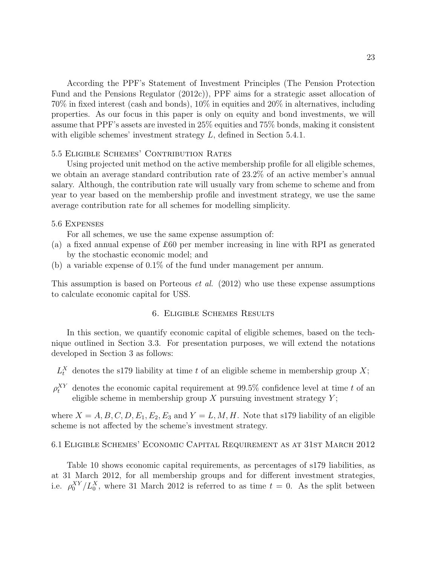According the PPF's Statement of Investment Principles (The Pension Protection Fund and the Pensions Regulator (2012c)), PPF aims for a strategic asset allocation of 70% in fixed interest (cash and bonds), 10% in equities and 20% in alternatives, including properties. As our focus in this paper is only on equity and bond investments, we will assume that PPF's assets are invested in 25% equities and 75% bonds, making it consistent with eligible schemes' investment strategy L, defined in Section 5.4.1.

#### 5.5 Eligible Schemes' Contribution Rates

Using projected unit method on the active membership profile for all eligible schemes, we obtain an average standard contribution rate of 23.2% of an active member's annual salary. Although, the contribution rate will usually vary from scheme to scheme and from year to year based on the membership profile and investment strategy, we use the same average contribution rate for all schemes for modelling simplicity.

#### 5.6 Expenses

For all schemes, we use the same expense assumption of:

- (a) a fixed annual expense of £60 per member increasing in line with RPI as generated by the stochastic economic model; and
- (b) a variable expense of 0.1% of the fund under management per annum.

This assumption is based on Porteous et al. (2012) who use these expense assumptions to calculate economic capital for USS.

#### 6. Eligible Schemes Results

In this section, we quantify economic capital of eligible schemes, based on the technique outlined in Section 3.3. For presentation purposes, we will extend the notations developed in Section 3 as follows:

- $L_t^X$  denotes the s179 liability at time t of an eligible scheme in membership group X;
- $\rho_t^{XY}$  denotes the economic capital requirement at 99.5% confidence level at time t of an eligible scheme in membership group  $X$  pursuing investment strategy  $Y$ ;

where  $X = A, B, C, D, E_1, E_2, E_3$  and  $Y = L, M, H$ . Note that s179 liability of an eligible scheme is not affected by the scheme's investment strategy.

#### 6.1 Eligible Schemes' Economic Capital Requirement as at 31st March 2012

Table 10 shows economic capital requirements, as percentages of s179 liabilities, as at 31 March 2012, for all membership groups and for different investment strategies, i.e.  $\rho_0^{XY}/L_0^X$ , where 31 March 2012 is referred to as time  $t = 0$ . As the split between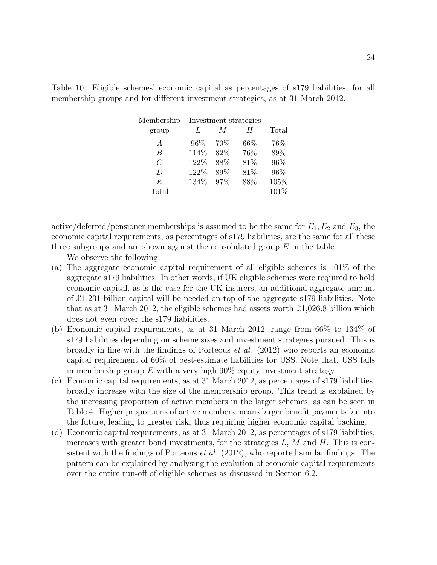Table 10: Eligible schemes' economic capital as percentages of s179 liabilities, for all membership groups and for different investment strategies, as at 31 March 2012.

| Membership     | Investment strategies |      |        |       |
|----------------|-----------------------|------|--------|-------|
| group          | $\mathbf{I}$          | M    | H      | Total |
| A              | $96\%$                | 70%  | $66\%$ | 76%   |
| B              | 114%                  | 82\% | 76%    | 89%   |
| $\overline{C}$ | 122%                  | 88%  | 81%    | 96%   |
| D              | 122%                  | 89%  | 81%    | 96%   |
| E              | 134%                  | 97\% | 88%    | 105%  |
| Total          |                       |      |        | 101%  |

active/deferred/pensioner memberships is assumed to be the same for  $E_1, E_2$  and  $E_3$ , the economic capital requirements, as percentages of s179 liabilities, are the same for all these three subgroups and are shown against the consolidated group  $E$  in the table.

We observe the following:

- (a) The aggregate economic capital requirement of all eligible schemes is 101% of the aggregate s179 liabilities. In other words, if UK eligible schemes were required to hold economic capital, as is the case for the UK insurers, an additional aggregate amount of £1,231 billion capital will be needed on top of the aggregate s179 liabilities. Note that as at 31 March 2012, the eligible schemes had assets worth  $\pounds$ 1,026.8 billion which does not even cover the s179 liabilities.
- (b) Economic capital requirements, as at 31 March 2012, range from 66% to 134% of s179 liabilities depending on scheme sizes and investment strategies pursued. This is broadly in line with the findings of Porteous et al. (2012) who reports an economic capital requirement of 60% of best-estimate liabilities for USS. Note that, USS falls in membership group E with a very high  $90\%$  equity investment strategy.
- (c) Economic capital requirements, as at 31 March 2012, as percentages of s179 liabilities, broadly increase with the size of the membership group. This trend is explained by the increasing proportion of active members in the larger schemes, as can be seen in Table 4. Higher proportions of active members means larger benefit payments far into the future, leading to greater risk, thus requiring higher economic capital backing.
- (d) Economic capital requirements, as at 31 March 2012, as percentages of s179 liabilities, increases with greater bond investments, for the strategies  $L, M$  and  $H$ . This is consistent with the findings of Porteous *et al.*  $(2012)$ , who reported similar findings. The pattern can be explained by analysing the evolution of economic capital requirements over the entire run-off of eligible schemes as discussed in Section 6.2.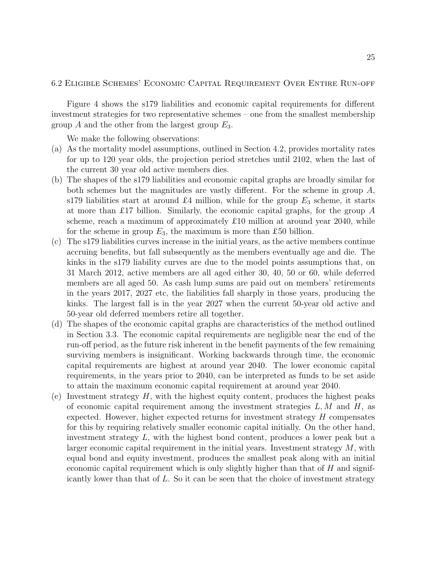#### 6.2 Eligible Schemes' Economic Capital Requirement Over Entire Run-off

Figure 4 shows the s179 liabilities and economic capital requirements for different investment strategies for two representative schemes – one from the smallest membership group A and the other from the largest group  $E_3$ .

We make the following observations:

- (a) As the mortality model assumptions, outlined in Section 4.2, provides mortality rates for up to 120 year olds, the projection period stretches until 2102, when the last of the current 30 year old active members dies.
- (b) The shapes of the s179 liabilities and economic capital graphs are broadly similar for both schemes but the magnitudes are vastly different. For the scheme in group A, s179 liabilities start at around £4 million, while for the group  $E_3$  scheme, it starts at more than £17 billion. Similarly, the economic capital graphs, for the group  $A$ scheme, reach a maximum of approximately £10 million at around year 2040, while for the scheme in group  $E_3$ , the maximum is more than £50 billion.
- (c) The s179 liabilities curves increase in the initial years, as the active members continue accruing benefits, but fall subsequently as the members eventually age and die. The kinks in the s179 liability curves are due to the model points assumptions that, on 31 March 2012, active members are all aged either 30, 40, 50 or 60, while deferred members are all aged 50. As cash lump sums are paid out on members' retirements in the years 2017, 2027 etc, the liabilities fall sharply in those years, producing the kinks. The largest fall is in the year 2027 when the current 50-year old active and 50-year old deferred members retire all together.
- (d) The shapes of the economic capital graphs are characteristics of the method outlined in Section 3.3. The economic capital requirements are negligible near the end of the run-off period, as the future risk inherent in the benefit payments of the few remaining surviving members is insignificant. Working backwards through time, the economic capital requirements are highest at around year 2040. The lower economic capital requirements, in the years prior to 2040, can be interpreted as funds to be set aside to attain the maximum economic capital requirement at around year 2040.
- (e) Investment strategy  $H$ , with the highest equity content, produces the highest peaks of economic capital requirement among the investment strategies  $L, M$  and  $H$ , as expected. However, higher expected returns for investment strategy  $H$  compensates for this by requiring relatively smaller economic capital initially. On the other hand, investment strategy L, with the highest bond content, produces a lower peak but a larger economic capital requirement in the initial years. Investment strategy  $M$ , with equal bond and equity investment, produces the smallest peak along with an initial economic capital requirement which is only slightly higher than that of  $H$  and significantly lower than that of  $L$ . So it can be seen that the choice of investment strategy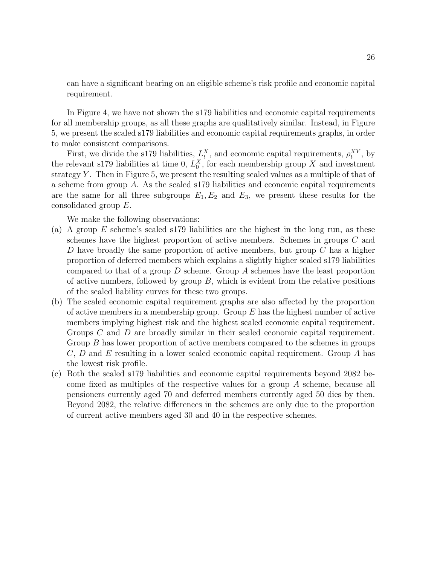can have a significant bearing on an eligible scheme's risk profile and economic capital requirement.

In Figure 4, we have not shown the s179 liabilities and economic capital requirements for all membership groups, as all these graphs are qualitatively similar. Instead, in Figure 5, we present the scaled s179 liabilities and economic capital requirements graphs, in order to make consistent comparisons.

First, we divide the s179 liabilities,  $L_t^X$ , and economic capital requirements,  $\rho_t^{XY}$ , by the relevant s179 liabilities at time 0,  $L_0^X$ , for each membership group X and investment strategy  $Y$ . Then in Figure 5, we present the resulting scaled values as a multiple of that of a scheme from group A. As the scaled s179 liabilities and economic capital requirements are the same for all three subgroups  $E_1, E_2$  and  $E_3$ , we present these results for the consolidated group E.

We make the following observations:

- (a) A group E scheme's scaled s179 liabilities are the highest in the long run, as these schemes have the highest proportion of active members. Schemes in groups C and D have broadly the same proportion of active members, but group  $C$  has a higher proportion of deferred members which explains a slightly higher scaled s179 liabilities compared to that of a group  $D$  scheme. Group  $A$  schemes have the least proportion of active numbers, followed by group  $B$ , which is evident from the relative positions of the scaled liability curves for these two groups.
- (b) The scaled economic capital requirement graphs are also affected by the proportion of active members in a membership group. Group  $E$  has the highest number of active members implying highest risk and the highest scaled economic capital requirement. Groups C and D are broadly similar in their scaled economic capital requirement. Group B has lower proportion of active members compared to the schemes in groups C, D and E resulting in a lower scaled economic capital requirement. Group A has the lowest risk profile.
- (c) Both the scaled s179 liabilities and economic capital requirements beyond 2082 become fixed as multiples of the respective values for a group A scheme, because all pensioners currently aged 70 and deferred members currently aged 50 dies by then. Beyond 2082, the relative differences in the schemes are only due to the proportion of current active members aged 30 and 40 in the respective schemes.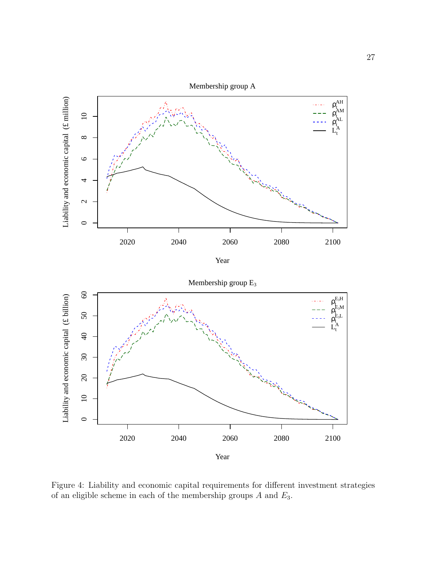

Year





Figure 4: Liability and economic capital requirements for different investment strategies of an eligible scheme in each of the membership groups  $A$  and  $E_3$ .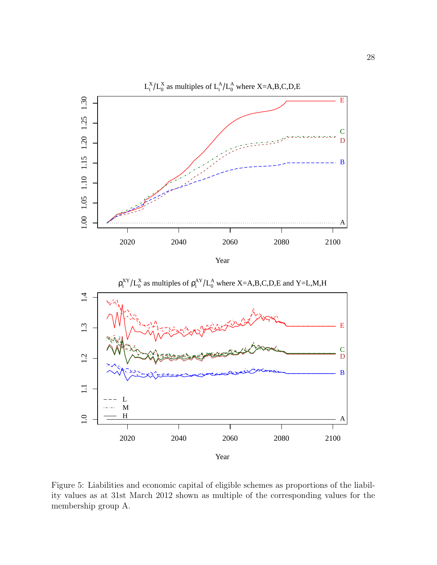





Figure 5: Liabilities and economic capital of eligible schemes as proportions of the liability values as at 31st March 2012 shown as multiple of the corresponding values for the membership group A.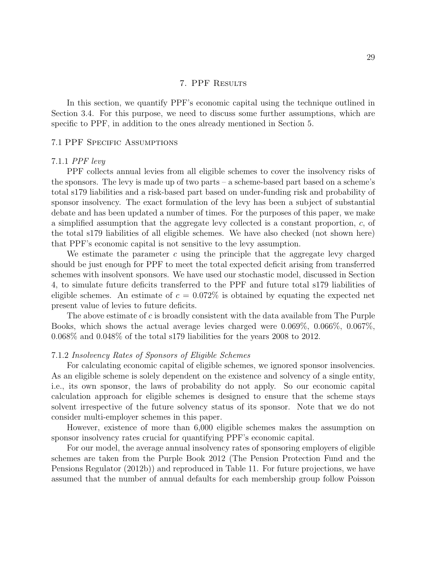#### 7. PPF Results

In this section, we quantify PPF's economic capital using the technique outlined in Section 3.4. For this purpose, we need to discuss some further assumptions, which are specific to PPF, in addition to the ones already mentioned in Section 5.

#### 7.1 PPF Specific Assumptions

#### 7.1.1 PPF levy

PPF collects annual levies from all eligible schemes to cover the insolvency risks of the sponsors. The levy is made up of two parts – a scheme-based part based on a scheme's total s179 liabilities and a risk-based part based on under-funding risk and probability of sponsor insolvency. The exact formulation of the levy has been a subject of substantial debate and has been updated a number of times. For the purposes of this paper, we make a simplified assumption that the aggregate levy collected is a constant proportion, c, of the total s179 liabilities of all eligible schemes. We have also checked (not shown here) that PPF's economic capital is not sensitive to the levy assumption.

We estimate the parameter  $c$  using the principle that the aggregate levy charged should be just enough for PPF to meet the total expected deficit arising from transferred schemes with insolvent sponsors. We have used our stochastic model, discussed in Section 4, to simulate future deficits transferred to the PPF and future total s179 liabilities of eligible schemes. An estimate of  $c = 0.072\%$  is obtained by equating the expected net present value of levies to future deficits.

The above estimate of  $c$  is broadly consistent with the data available from The Purple Books, which shows the actual average levies charged were 0.069%, 0.066%, 0.067%, 0.068% and 0.048% of the total s179 liabilities for the years 2008 to 2012.

#### 7.1.2 Insolvency Rates of Sponsors of Eligible Schemes

For calculating economic capital of eligible schemes, we ignored sponsor insolvencies. As an eligible scheme is solely dependent on the existence and solvency of a single entity, i.e., its own sponsor, the laws of probability do not apply. So our economic capital calculation approach for eligible schemes is designed to ensure that the scheme stays solvent irrespective of the future solvency status of its sponsor. Note that we do not consider multi-employer schemes in this paper.

However, existence of more than 6,000 eligible schemes makes the assumption on sponsor insolvency rates crucial for quantifying PPF's economic capital.

For our model, the average annual insolvency rates of sponsoring employers of eligible schemes are taken from the Purple Book 2012 (The Pension Protection Fund and the Pensions Regulator (2012b)) and reproduced in Table 11. For future projections, we have assumed that the number of annual defaults for each membership group follow Poisson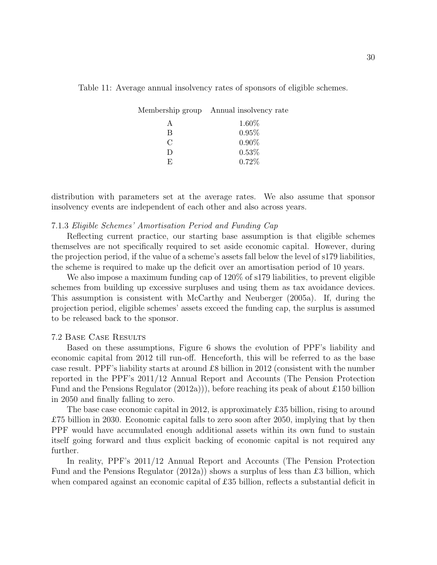|                             | Membership group Annual insolvency rate |
|-----------------------------|-----------------------------------------|
| А                           | 1.60%                                   |
| B                           | 0.95%                                   |
| $\mathcal{C}_{\mathcal{C}}$ | $0.90\%$                                |
| $\Box$                      | $0.53\%$                                |
| E.                          | 0.72%                                   |

Table 11: Average annual insolvency rates of sponsors of eligible schemes.

distribution with parameters set at the average rates. We also assume that sponsor insolvency events are independent of each other and also across years.

#### 7.1.3 Eligible Schemes' Amortisation Period and Funding Cap

Reflecting current practice, our starting base assumption is that eligible schemes themselves are not specifically required to set aside economic capital. However, during the projection period, if the value of a scheme's assets fall below the level of s179 liabilities, the scheme is required to make up the deficit over an amortisation period of 10 years.

We also impose a maximum funding cap of 120% of s179 liabilities, to prevent eligible schemes from building up excessive surpluses and using them as tax avoidance devices. This assumption is consistent with McCarthy and Neuberger (2005a). If, during the projection period, eligible schemes' assets exceed the funding cap, the surplus is assumed to be released back to the sponsor.

#### 7.2 Base Case Results

Based on these assumptions, Figure 6 shows the evolution of PPF's liability and economic capital from 2012 till run-off. Henceforth, this will be referred to as the base case result. PPF's liability starts at around £8 billion in 2012 (consistent with the number reported in the PPF's 2011/12 Annual Report and Accounts (The Pension Protection Fund and the Pensions Regulator  $(2012a)$ ), before reaching its peak of about £150 billion in 2050 and finally falling to zero.

The base case economic capital in 2012, is approximately £35 billion, rising to around £75 billion in 2030. Economic capital falls to zero soon after 2050, implying that by then PPF would have accumulated enough additional assets within its own fund to sustain itself going forward and thus explicit backing of economic capital is not required any further.

In reality, PPF's 2011/12 Annual Report and Accounts (The Pension Protection Fund and the Pensions Regulator (2012a)) shows a surplus of less than £3 billion, which when compared against an economic capital of £35 billion, reflects a substantial deficit in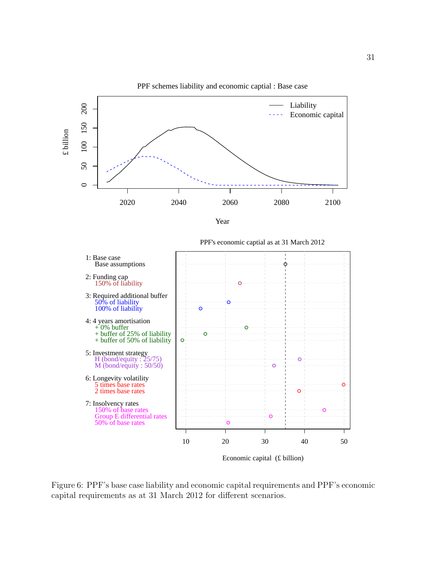

PPF schemes liability and economic captial : Base case

Figure 6: PPF's base case liability and economic capital requirements and PPF's economic capital requirements as at 31 March 2012 for different scenarios.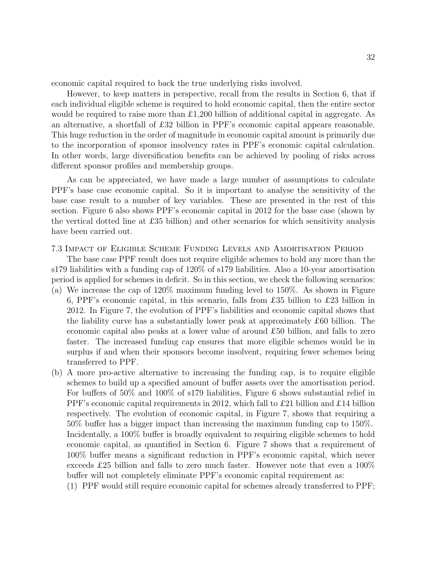economic capital required to back the true underlying risks involved.

However, to keep matters in perspective, recall from the results in Section 6, that if each individual eligible scheme is required to hold economic capital, then the entire sector would be required to raise more than £1,200 billion of additional capital in aggregate. As an alternative, a shortfall of £32 billion in PPF's economic capital appears reasonable. This huge reduction in the order of magnitude in economic capital amount is primarily due to the incorporation of sponsor insolvency rates in PPF's economic capital calculation. In other words, large diversification benefits can be achieved by pooling of risks across different sponsor profiles and membership groups.

As can be appreciated, we have made a large number of assumptions to calculate PPF's base case economic capital. So it is important to analyse the sensitivity of the base case result to a number of key variables. These are presented in the rest of this section. Figure 6 also shows PPF's economic capital in 2012 for the base case (shown by the vertical dotted line at £35 billion) and other scenarios for which sensitivity analysis have been carried out.

#### 7.3 Impact of Eligible Scheme Funding Levels and Amortisation Period

The base case PPF result does not require eligible schemes to hold any more than the s179 liabilities with a funding cap of 120% of s179 liabilities. Also a 10-year amortisation period is applied for schemes in deficit. So in this section, we check the following scenarios:

- (a) We increase the cap of 120% maximum funding level to 150%. As shown in Figure 6, PPF's economic capital, in this scenario, falls from £35 billion to £23 billion in 2012. In Figure 7, the evolution of PPF's liabilities and economic capital shows that the liability curve has a substantially lower peak at approximately £60 billion. The economic capital also peaks at a lower value of around £50 billion, and falls to zero faster. The increased funding cap ensures that more eligible schemes would be in surplus if and when their sponsors become insolvent, requiring fewer schemes being transferred to PPF.
- (b) A more pro-active alternative to increasing the funding cap, is to require eligible schemes to build up a specified amount of buffer assets over the amortisation period. For buffers of 50% and 100% of s179 liabilities, Figure 6 shows substantial relief in PPF's economic capital requirements in 2012, which fall to £21 billion and £14 billion respectively. The evolution of economic capital, in Figure 7, shows that requiring a 50% buffer has a bigger impact than increasing the maximum funding cap to 150%. Incidentally, a 100% buffer is broadly equivalent to requiring eligible schemes to hold economic capital, as quantified in Section 6. Figure 7 shows that a requirement of 100% buffer means a significant reduction in PPF's economic capital, which never exceeds £25 billion and falls to zero much faster. However note that even a 100% buffer will not completely eliminate PPF's economic capital requirement as:

(1) PPF would still require economic capital for schemes already transferred to PPF;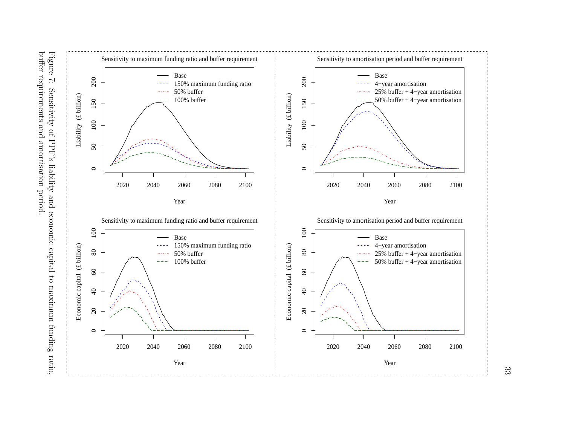



33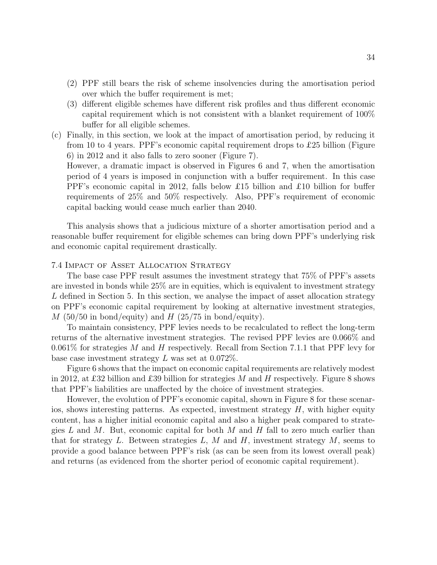- (2) PPF still bears the risk of scheme insolvencies during the amortisation period over which the buffer requirement is met;
- (3) different eligible schemes have different risk profiles and thus different economic capital requirement which is not consistent with a blanket requirement of 100% buffer for all eligible schemes.
- (c) Finally, in this section, we look at the impact of amortisation period, by reducing it from 10 to 4 years. PPF's economic capital requirement drops to £25 billion (Figure 6) in 2012 and it also falls to zero sooner (Figure 7).

However, a dramatic impact is observed in Figures 6 and 7, when the amortisation period of 4 years is imposed in conjunction with a buffer requirement. In this case PPF's economic capital in 2012, falls below £15 billion and £10 billion for buffer requirements of 25% and 50% respectively. Also, PPF's requirement of economic capital backing would cease much earlier than 2040.

This analysis shows that a judicious mixture of a shorter amortisation period and a reasonable buffer requirement for eligible schemes can bring down PPF's underlying risk and economic capital requirement drastically.

#### 7.4 Impact of Asset Allocation Strategy

The base case PPF result assumes the investment strategy that 75% of PPF's assets are invested in bonds while 25% are in equities, which is equivalent to investment strategy L defined in Section 5. In this section, we analyse the impact of asset allocation strategy on PPF's economic capital requirement by looking at alternative investment strategies,  $M$  (50/50 in bond/equity) and  $H$  (25/75 in bond/equity).

To maintain consistency, PPF levies needs to be recalculated to reflect the long-term returns of the alternative investment strategies. The revised PPF levies are 0.066% and 0.061% for strategies M and H respectively. Recall from Section 7.1.1 that PPF levy for base case investment strategy  $L$  was set at 0.072%.

Figure 6 shows that the impact on economic capital requirements are relatively modest in 2012, at £32 billion and £39 billion for strategies M and H respectively. Figure 8 shows that PPF's liabilities are unaffected by the choice of investment strategies.

However, the evolution of PPF's economic capital, shown in Figure 8 for these scenarios, shows interesting patterns. As expected, investment strategy  $H$ , with higher equity content, has a higher initial economic capital and also a higher peak compared to strategies L and M. But, economic capital for both M and H fall to zero much earlier than that for strategy L. Between strategies L, M and H, investment strategy  $M$ , seems to provide a good balance between PPF's risk (as can be seen from its lowest overall peak) and returns (as evidenced from the shorter period of economic capital requirement).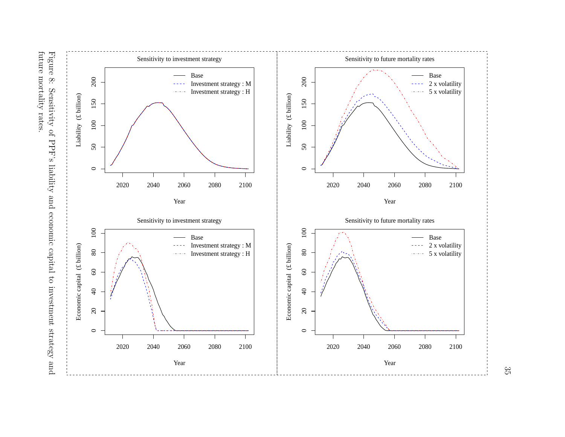

 $35$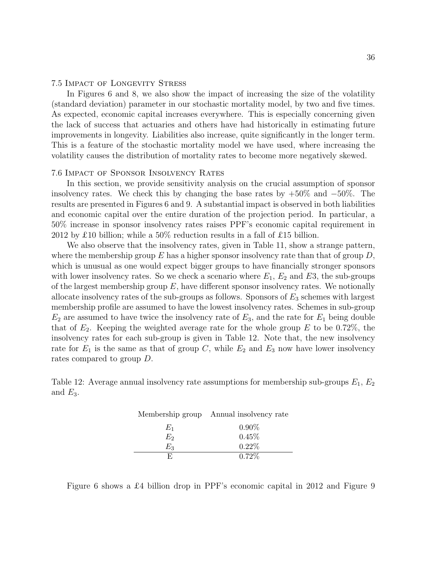#### 7.5 Impact of Longevity Stress

In Figures 6 and 8, we also show the impact of increasing the size of the volatility (standard deviation) parameter in our stochastic mortality model, by two and five times. As expected, economic capital increases everywhere. This is especially concerning given the lack of success that actuaries and others have had historically in estimating future improvements in longevity. Liabilities also increase, quite significantly in the longer term. This is a feature of the stochastic mortality model we have used, where increasing the volatility causes the distribution of mortality rates to become more negatively skewed.

#### 7.6 Impact of Sponsor Insolvency Rates

In this section, we provide sensitivity analysis on the crucial assumption of sponsor insolvency rates. We check this by changing the base rates by  $+50\%$  and  $-50\%$ . The results are presented in Figures 6 and 9. A substantial impact is observed in both liabilities and economic capital over the entire duration of the projection period. In particular, a 50% increase in sponsor insolvency rates raises PPF's economic capital requirement in 2012 by £10 billion; while a  $50\%$  reduction results in a fall of £15 billion.

We also observe that the insolvency rates, given in Table 11, show a strange pattern, where the membership group E has a higher sponsor insolvency rate than that of group  $D$ , which is unusual as one would expect bigger groups to have financially stronger sponsors with lower insolvency rates. So we check a scenario where  $E_1$ ,  $E_2$  and  $E_3$ , the sub-groups of the largest membership group  $E$ , have different sponsor insolvency rates. We notionally allocate insolvency rates of the sub-groups as follows. Sponsors of  $E_3$  schemes with largest membership profile are assumed to have the lowest insolvency rates. Schemes in sub-group  $E_2$  are assumed to have twice the insolvency rate of  $E_3$ , and the rate for  $E_1$  being double that of  $E_2$ . Keeping the weighted average rate for the whole group E to be 0.72%, the insolvency rates for each sub-group is given in Table 12. Note that, the new insolvency rate for  $E_1$  is the same as that of group C, while  $E_2$  and  $E_3$  now have lower insolvency rates compared to group D.

Table 12: Average annual insolvency rate assumptions for membership sub-groups  $E_1, E_2$ and  $E_3$ .

|       | Membership group Annual insolvency rate |
|-------|-----------------------------------------|
| $E_1$ | $0.90\%$                                |
| $E_2$ | 0.45%                                   |
| Eз    | 0.22%                                   |
| н.    | $0.72\%$                                |

Figure 6 shows a £4 billion drop in PPF's economic capital in 2012 and Figure 9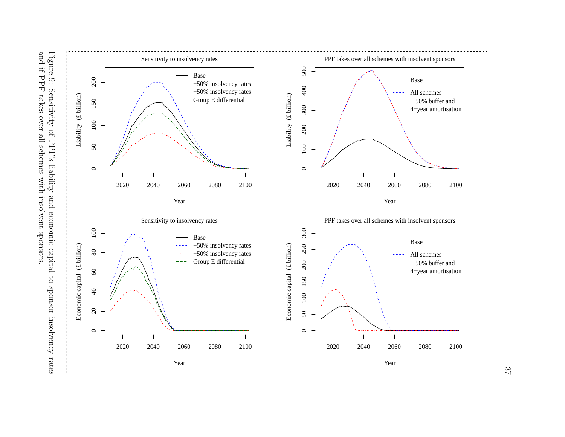



37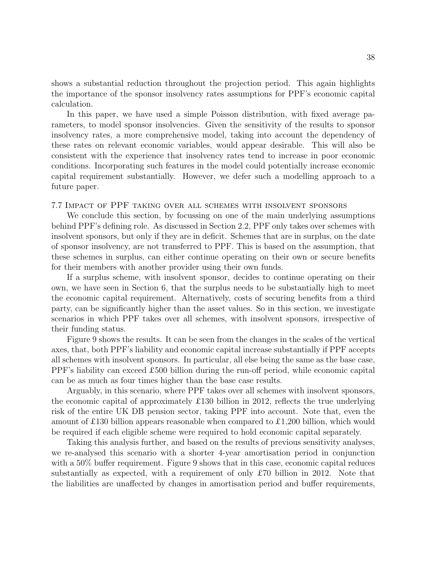shows a substantial reduction throughout the projection period. This again highlights the importance of the sponsor insolvency rates assumptions for PPF's economic capital calculation.

In this paper, we have used a simple Poisson distribution, with fixed average parameters, to model sponsor insolvencies. Given the sensitivity of the results to sponsor insolvency rates, a more comprehensive model, taking into account the dependency of these rates on relevant economic variables, would appear desirable. This will also be consistent with the experience that insolvency rates tend to increase in poor economic conditions. Incorporating such features in the model could potentially increase economic capital requirement substantially. However, we defer such a modelling approach to a future paper.

#### 7.7 Impact of PPF taking over all schemes with insolvent sponsors

We conclude this section, by focussing on one of the main underlying assumptions behind PPF's defining role. As discussed in Section 2.2, PPF only takes over schemes with insolvent sponsors, but only if they are in deficit. Schemes that are in surplus, on the date of sponsor insolvency, are not transferred to PPF. This is based on the assumption, that these schemes in surplus, can either continue operating on their own or secure benefits for their members with another provider using their own funds.

If a surplus scheme, with insolvent sponsor, decides to continue operating on their own, we have seen in Section 6, that the surplus needs to be substantially high to meet the economic capital requirement. Alternatively, costs of securing benefits from a third party, can be significantly higher than the asset values. So in this section, we investigate scenarios in which PPF takes over all schemes, with insolvent sponsors, irrespective of their funding status.

Figure 9 shows the results. It can be seen from the changes in the scales of the vertical axes, that, both PPF's liability and economic capital increase substantially if PPF accepts all schemes with insolvent sponsors. In particular, all else being the same as the base case, PPF's liability can exceed £500 billion during the run-off period, while economic capital can be as much as four times higher than the base case results.

Arguably, in this scenario, where PPF takes over all schemes with insolvent sponsors, the economic capital of approximately £130 billion in 2012, reflects the true underlying risk of the entire UK DB pension sector, taking PPF into account. Note that, even the amount of £130 billion appears reasonable when compared to £1,200 billion, which would be required if each eligible scheme were required to hold economic capital separately.

Taking this analysis further, and based on the results of previous sensitivity analyses, we re-analysed this scenario with a shorter 4-year amortisation period in conjunction with a 50% buffer requirement. Figure 9 shows that in this case, economic capital reduces substantially as expected, with a requirement of only £70 billion in 2012. Note that the liabilities are unaffected by changes in amortisation period and buffer requirements,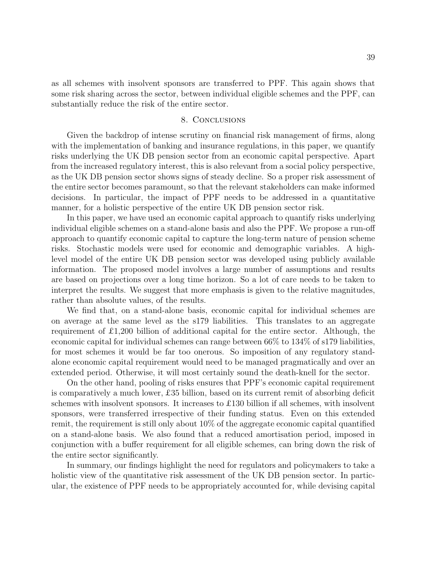as all schemes with insolvent sponsors are transferred to PPF. This again shows that some risk sharing across the sector, between individual eligible schemes and the PPF, can substantially reduce the risk of the entire sector.

#### 8. Conclusions

Given the backdrop of intense scrutiny on financial risk management of firms, along with the implementation of banking and insurance regulations, in this paper, we quantify risks underlying the UK DB pension sector from an economic capital perspective. Apart from the increased regulatory interest, this is also relevant from a social policy perspective, as the UK DB pension sector shows signs of steady decline. So a proper risk assessment of the entire sector becomes paramount, so that the relevant stakeholders can make informed decisions. In particular, the impact of PPF needs to be addressed in a quantitative manner, for a holistic perspective of the entire UK DB pension sector risk.

In this paper, we have used an economic capital approach to quantify risks underlying individual eligible schemes on a stand-alone basis and also the PPF. We propose a run-off approach to quantify economic capital to capture the long-term nature of pension scheme risks. Stochastic models were used for economic and demographic variables. A highlevel model of the entire UK DB pension sector was developed using publicly available information. The proposed model involves a large number of assumptions and results are based on projections over a long time horizon. So a lot of care needs to be taken to interpret the results. We suggest that more emphasis is given to the relative magnitudes, rather than absolute values, of the results.

We find that, on a stand-alone basis, economic capital for individual schemes are on average at the same level as the s179 liabilities. This translates to an aggregate requirement of £1,200 billion of additional capital for the entire sector. Although, the economic capital for individual schemes can range between 66% to 134% of s179 liabilities, for most schemes it would be far too onerous. So imposition of any regulatory standalone economic capital requirement would need to be managed pragmatically and over an extended period. Otherwise, it will most certainly sound the death-knell for the sector.

On the other hand, pooling of risks ensures that PPF's economic capital requirement is comparatively a much lower, £35 billion, based on its current remit of absorbing deficit schemes with insolvent sponsors. It increases to £130 billion if all schemes, with insolvent sponsors, were transferred irrespective of their funding status. Even on this extended remit, the requirement is still only about 10% of the aggregate economic capital quantified on a stand-alone basis. We also found that a reduced amortisation period, imposed in conjunction with a buffer requirement for all eligible schemes, can bring down the risk of the entire sector significantly.

In summary, our findings highlight the need for regulators and policymakers to take a holistic view of the quantitative risk assessment of the UK DB pension sector. In particular, the existence of PPF needs to be appropriately accounted for, while devising capital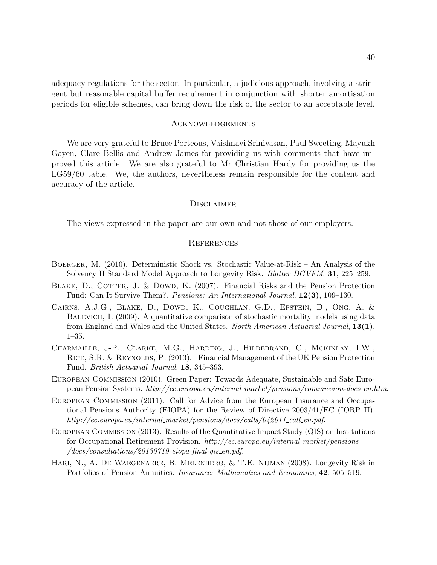adequacy regulations for the sector. In particular, a judicious approach, involving a stringent but reasonable capital buffer requirement in conjunction with shorter amortisation periods for eligible schemes, can bring down the risk of the sector to an acceptable level.

#### Acknowledgements

We are very grateful to Bruce Porteous, Vaishnavi Srinivasan, Paul Sweeting, Mayukh Gayen, Clare Bellis and Andrew James for providing us with comments that have improved this article. We are also grateful to Mr Christian Hardy for providing us the LG59/60 table. We, the authors, nevertheless remain responsible for the content and accuracy of the article.

#### **DISCLAIMER**

The views expressed in the paper are our own and not those of our employers.

#### **REFERENCES**

- Boerger, M. (2010). Deterministic Shock vs. Stochastic Value-at-Risk An Analysis of the Solvency II Standard Model Approach to Longevity Risk. *Blatter DGVFM*, 31, 225–259.
- BLAKE, D., COTTER, J. & DOWD, K. (2007). Financial Risks and the Pension Protection Fund: Can It Survive Them?. *Pensions: An International Journal*, 12(3), 109–130.
- Cairns, A.J.G., Blake, D., Dowd, K., Coughlan, G.D., Epstein, D., Ong, A. & BALEVICH, I. (2009). A quantitative comparison of stochastic mortality models using data from England and Wales and the United States. *North American Actuarial Journal*, 13(1), 1–35.
- Charmaille, J-P., Clarke, M.G., Harding, J., Hildebrand, C., Mckinlay, I.W., RICE, S.R. & REYNOLDS, P. (2013). Financial Management of the UK Pension Protection Fund. *British Actuarial Journal*, 18, 345–393.
- European Commission (2010). Green Paper: Towards Adequate, Sustainable and Safe European Pension Systems. *http://ec.europa.eu/internal market/pensions/commission-docs en.htm*.
- European Commission (2011). Call for Advice from the European Insurance and Occupational Pensions Authority (EIOPA) for the Review of Directive 2003/41/EC (IORP II). *http://ec.europa.eu/internal market/pensions/docs/calls/042011 call en.pdf*.
- European Commission (2013). Results of the Quantitative Impact Study (QIS) on Institutions for Occupational Retirement Provision. *http://ec.europa.eu/internal market/pensions /docs/consultations/20130719-eiopa-final-qis en.pdf*.
- Hari, N., A. De Waegenaere, B. Melenberg, & T.E. Nijman (2008). Longevity Risk in Portfolios of Pension Annuities. *Insurance: Mathematics and Economics*, 42, 505–519.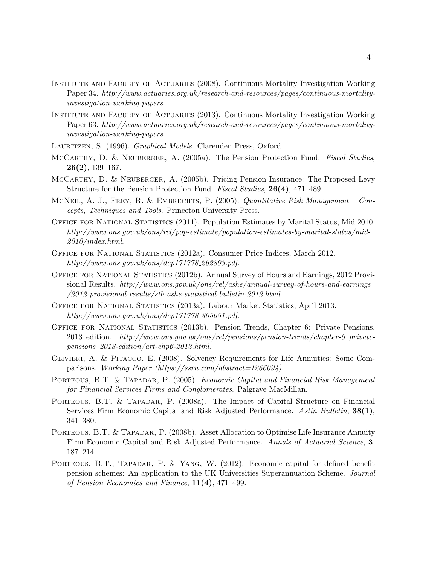- Institute and Faculty of Actuaries (2008). Continuous Mortality Investigation Working Paper 34. *http://www.actuaries.org.uk/research-and-resources/pages/continuous-mortalityinvestigation-working-papers*.
- Institute and Faculty of Actuaries (2013). Continuous Mortality Investigation Working Paper 63. *http://www.actuaries.org.uk/research-and-resources/pages/continuous-mortalityinvestigation-working-papers*.
- Lauritzen, S. (1996). *Graphical Models*. Clarenden Press, Oxford.
- McCarthy, D. & Neuberger, A. (2005a). The Pension Protection Fund. *Fiscal Studies*, 26(2), 139–167.
- McCarthy, D. & Neuberger, A. (2005b). Pricing Pension Insurance: The Proposed Levy Structure for the Pension Protection Fund. *Fiscal Studies*, 26(4), 471–489.
- McNeil, A. J., Frey, R. & Embrechts, P. (2005). *Quantitative Risk Management Concepts, Techniques and Tools*. Princeton University Press.
- Office for National Statistics (2011). Population Estimates by Marital Status, Mid 2010. *http://www.ons.gov.uk/ons/rel/pop-estimate/population-estimates-by-marital-status/mid-2010/index.html*.
- Office for National Statistics (2012a). Consumer Price Indices, March 2012. *http://www.ons.gov.uk/ons/dcp171778 262803.pdf*.
- OFFICE FOR NATIONAL STATISTICS (2012b). Annual Survey of Hours and Earnings, 2012 Provisional Results. *http://www.ons.gov.uk/ons/rel/ashe/annual-survey-of-hours-and-earnings /2012-provisional-results/stb-ashe-statistical-bulletin-2012.html*.
- Office for National Statistics (2013a). Labour Market Statistics, April 2013. *http://www.ons.gov.uk/ons/dcp171778 305051.pdf*.
- Office for National Statistics (2013b). Pension Trends, Chapter 6: Private Pensions, 2013 edition. *http://www.ons.gov.uk/ons/rel/pensions/pension-trends/chapter-6–privatepensions–2013-edition/art-chp6-2013.html*.
- Olivieri, A. & Pitacco, E. (2008). Solvency Requirements for Life Annuities: Some Comparisons. *Working Paper (https://ssrn.com/abstract=1266094)*.
- Porteous, B.T. & Tapadar, P. (2005). *Economic Capital and Financial Risk Management for Financial Services Firms and Conglomerates*. Palgrave MacMillan.
- PORTEOUS, B.T. & TAPADAR, P. (2008a). The Impact of Capital Structure on Financial Services Firm Economic Capital and Risk Adjusted Performance. *Astin Bulletin*, 38(1), 341–380.
- PORTEOUS, B.T. & TAPADAR, P. (2008b). Asset Allocation to Optimise Life Insurance Annuity Firm Economic Capital and Risk Adjusted Performance. *Annals of Actuarial Science*, 3, 187–214.
- PORTEOUS, B.T., TAPADAR, P. & YANG, W. (2012). Economic capital for defined benefit pension schemes: An application to the UK Universities Superannuation Scheme. *Journal of Pension Economics and Finance*, 11(4), 471–499.